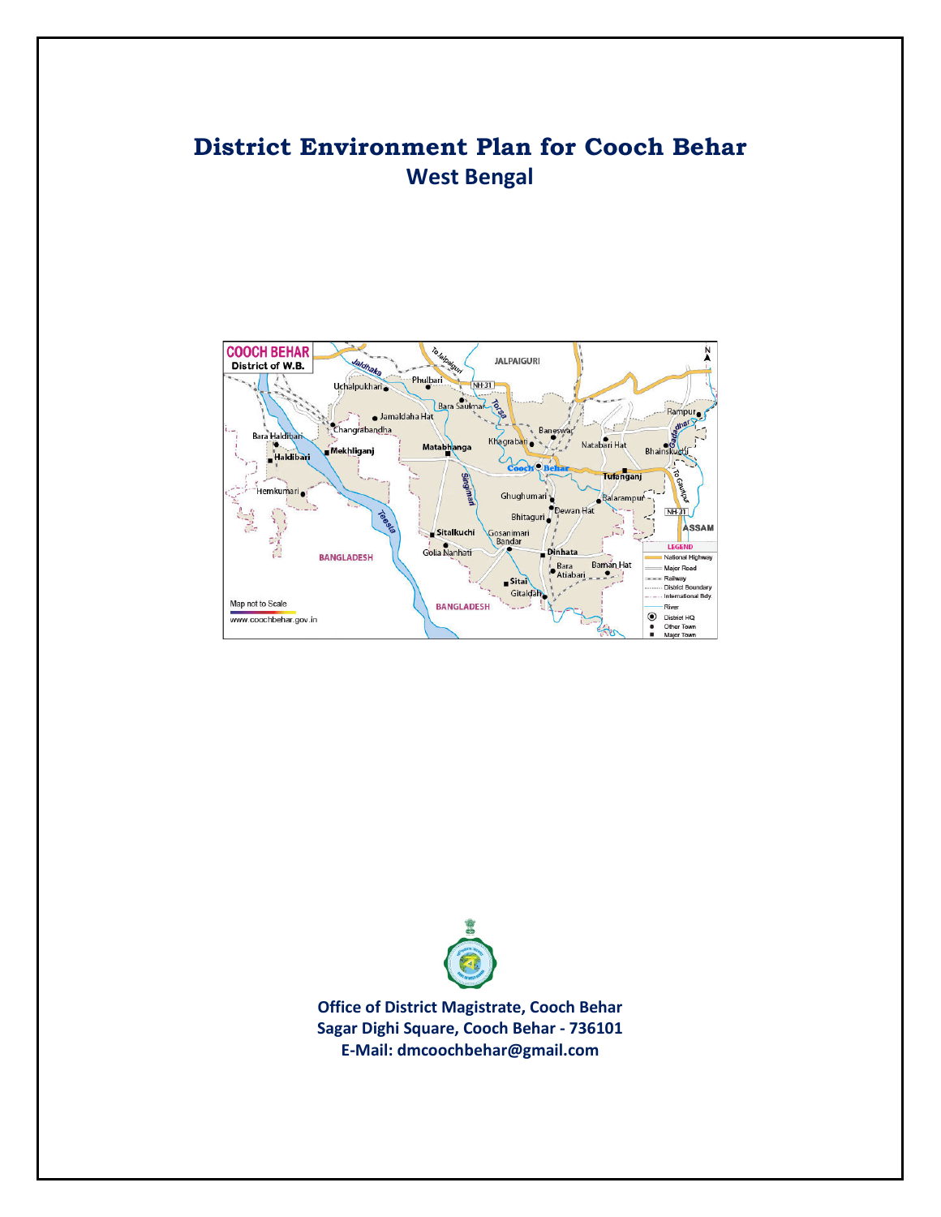# **District Environment Plan for Cooch Behar West Bengal**





**Office of District Magistrate, Cooch Behar Sagar Dighi Square, Cooch Behar - 736101 E-Mail: dmcoochbehar@gmail.com**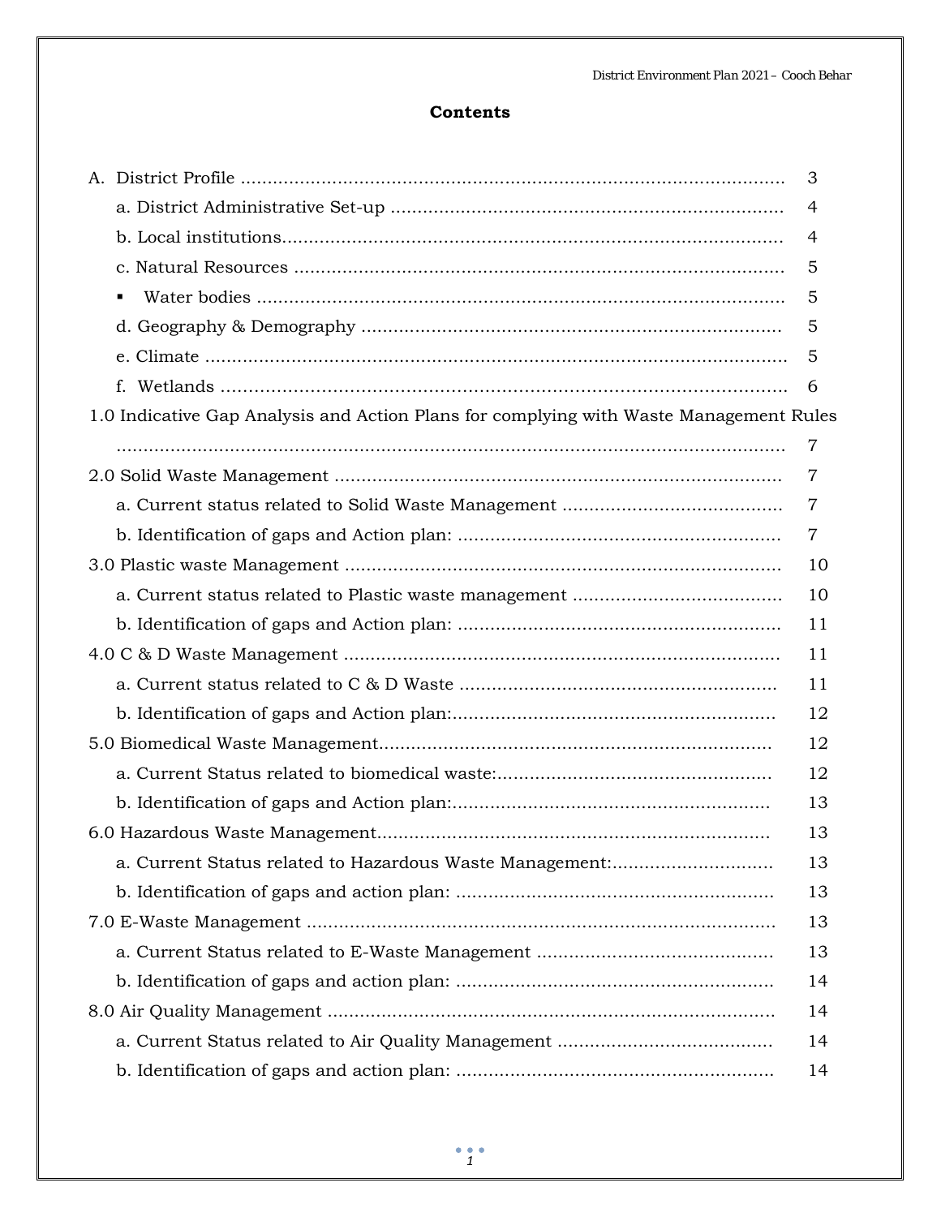## **Contents**

|                                                                                        | 3              |
|----------------------------------------------------------------------------------------|----------------|
|                                                                                        | 4              |
|                                                                                        | 4              |
|                                                                                        | 5              |
|                                                                                        | 5              |
|                                                                                        | 5              |
|                                                                                        | 5              |
| f.                                                                                     | 6              |
| 1.0 Indicative Gap Analysis and Action Plans for complying with Waste Management Rules |                |
|                                                                                        | 7              |
|                                                                                        | 7              |
|                                                                                        | 7              |
|                                                                                        | $\overline{7}$ |
|                                                                                        | 10             |
|                                                                                        | 10             |
|                                                                                        | 11             |
|                                                                                        | 11             |
|                                                                                        | 11             |
|                                                                                        | 12             |
|                                                                                        | 12             |
|                                                                                        | 12             |
|                                                                                        | 13             |
|                                                                                        | 13             |
| a. Current Status related to Hazardous Waste Management:                               | 13             |
|                                                                                        | 13             |
|                                                                                        | 13             |
|                                                                                        | 13             |
|                                                                                        | 14             |
|                                                                                        | 14             |
|                                                                                        | 14             |
|                                                                                        | 14             |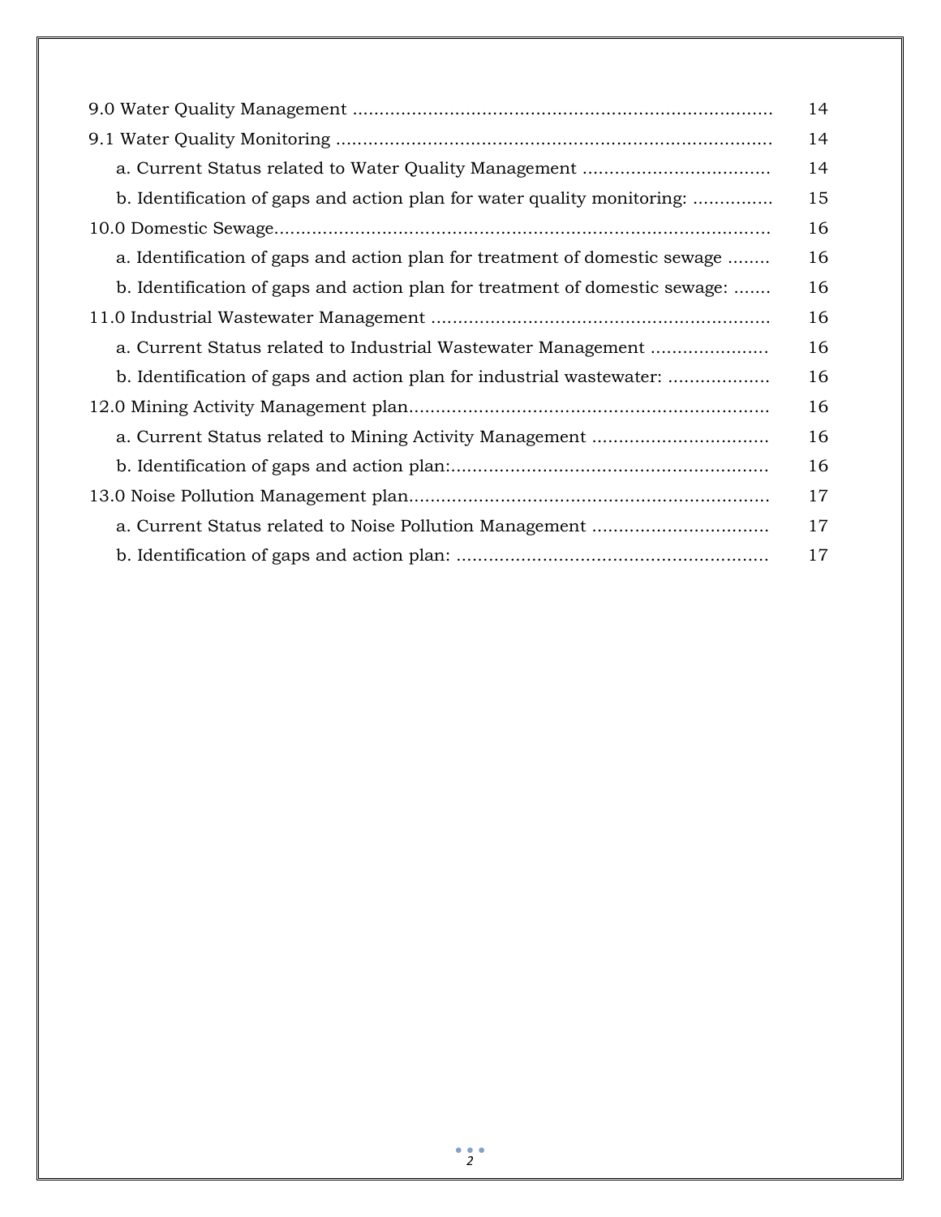|                                                                             | 14 |
|-----------------------------------------------------------------------------|----|
|                                                                             | 14 |
| a. Current Status related to Water Quality Management                       | 14 |
| b. Identification of gaps and action plan for water quality monitoring:     | 15 |
|                                                                             | 16 |
| a. Identification of gaps and action plan for treatment of domestic sewage  | 16 |
| b. Identification of gaps and action plan for treatment of domestic sewage: | 16 |
|                                                                             | 16 |
| a. Current Status related to Industrial Wastewater Management               | 16 |
| b. Identification of gaps and action plan for industrial wastewater:        | 16 |
|                                                                             | 16 |
|                                                                             | 16 |
|                                                                             | 16 |
|                                                                             | 17 |
|                                                                             | 17 |
|                                                                             | 17 |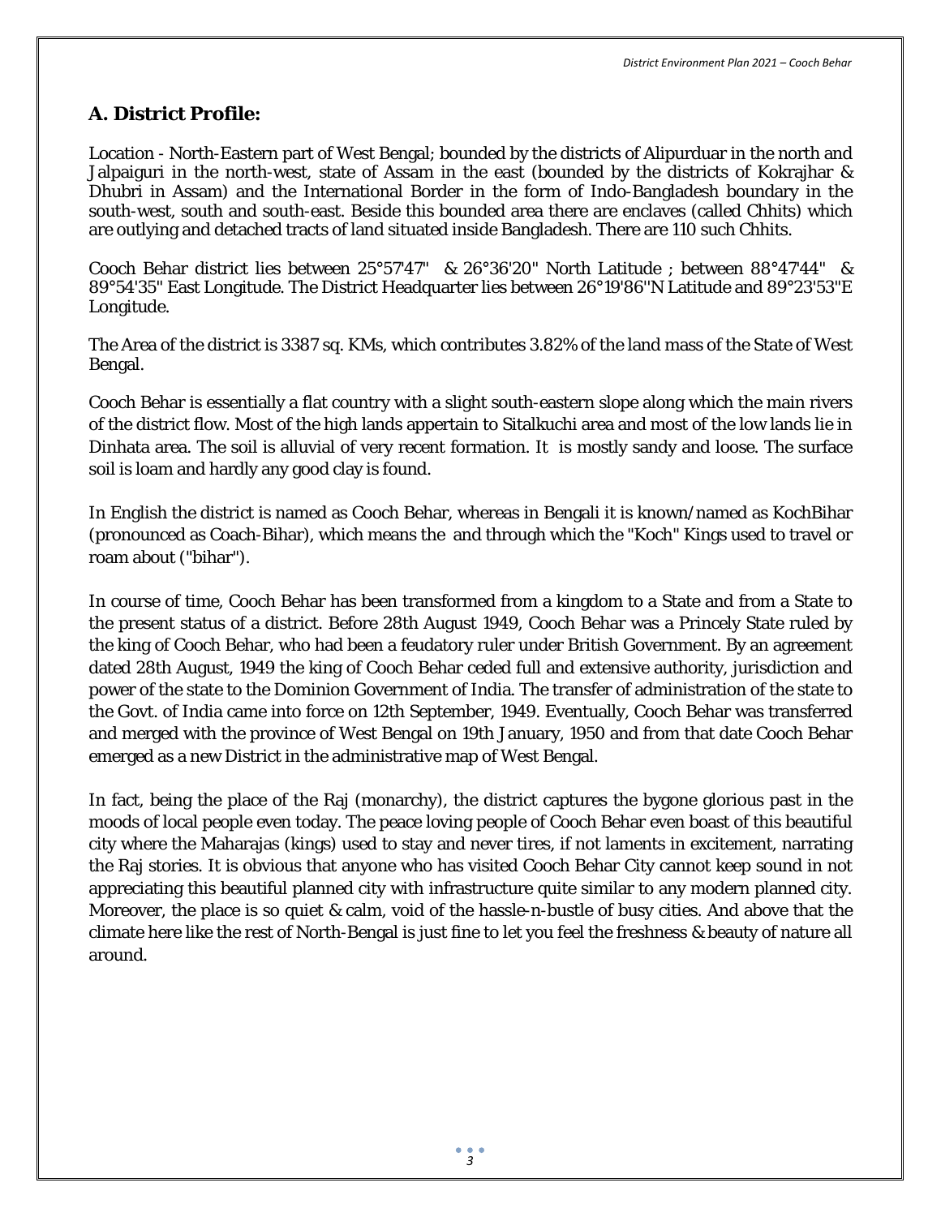# **A. District Profile:**

Location - North-Eastern part of West Bengal; bounded by the districts of Alipurduar in the north and Jalpaiguri in the north-west, state of Assam in the east (bounded by the districts of Kokrajhar & Dhubri in Assam) and the International Border in the form of Indo-Bangladesh boundary in the south-west, south and south-east. Beside this bounded area there are enclaves (called Chhits) which are outlying and detached tracts of land situated inside Bangladesh. There are 110 such Chhits.

Cooch Behar district lies between 25°57'47" & 26°36'20" North Latitude ; between 88°47'44" & 89°54'35" East Longitude. The District Headquarter lies between 26°19'86''N Latitude and 89°23'53"E Longitude.

The Area of the district is 3387 sq. KMs, which contributes 3.82% of the land mass of the State of West Bengal.

Cooch Behar is essentially a flat country with a slight south-eastern slope along which the main rivers of the district flow. Most of the high lands appertain to Sitalkuchi area and most of the low lands lie in Dinhata area. The soil is alluvial of very recent formation. It is mostly sandy and loose. The surface soil is loam and hardly any good clay is found.

In English the district is named as Cooch Behar, whereas in Bengali it is known/named as KochBihar (pronounced as Coach-Bihar), which means the and through which the "Koch" Kings used to travel or roam about ("bihar").

In course of time, Cooch Behar has been transformed from a kingdom to a State and from a State to the present status of a district. Before 28th August 1949, Cooch Behar was a Princely State ruled by the king of Cooch Behar, who had been a feudatory ruler under British Government. By an agreement dated 28th August, 1949 the king of Cooch Behar ceded full and extensive authority, jurisdiction and power of the state to the Dominion Government of India. The transfer of administration of the state to the Govt. of India came into force on 12th September, 1949. Eventually, Cooch Behar was transferred and merged with the province of West Bengal on 19th January, 1950 and from that date Cooch Behar emerged as a new District in the administrative map of West Bengal.

In fact, being the place of the Raj (monarchy), the district captures the bygone glorious past in the moods of local people even today. The peace loving people of Cooch Behar even boast of this beautiful city where the Maharajas (kings) used to stay and never tires, if not laments in excitement, narrating the Raj stories. It is obvious that anyone who has visited Cooch Behar City cannot keep sound in not appreciating this beautiful planned city with infrastructure quite similar to any modern planned city. Moreover, the place is so quiet & calm, void of the hassle-n-bustle of busy cities. And above that the climate here like the rest of North-Bengal is just fine to let you feel the freshness & beauty of nature all around.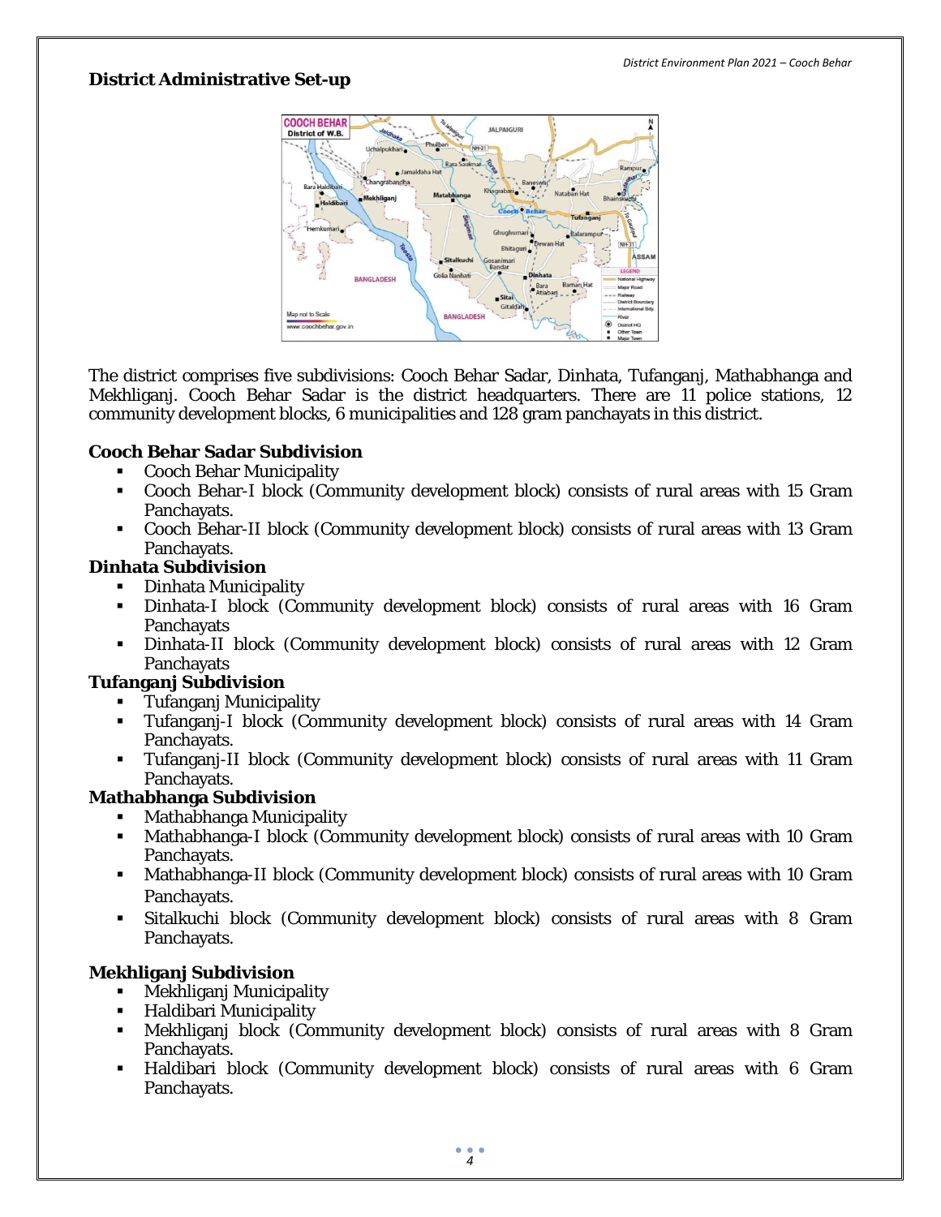### **District Administrative Set-up**



The district comprises five subdivisions: Cooch Behar Sadar, Dinhata, Tufanganj, Mathabhanga and Mekhliganj. Cooch Behar Sadar is the district headquarters. There are 11 police stations, 12 community development blocks, 6 municipalities and 128 gram panchayats in this district.

### **Cooch Behar Sadar Subdivision**

- **Cooch Behar Municipality**
- Cooch Behar-I block (Community development block) consists of rural areas with 15 Gram Panchayats.
- Cooch Behar-II block (Community development block) consists of rural areas with 13 Gram Panchayats.

### **Dinhata Subdivision**

- **•** Dinhata Municipality
- Dinhata-I block (Community development block) consists of rural areas with 16 Gram **Panchayats**
- Dinhata-II block (Community development block) consists of rural areas with 12 Gram **Panchayats**

### **Tufanganj Subdivision**

- **Tufanganj Municipality**<br>Tufangani-I block (Cor
- Tufanganj-I block (Community development block) consists of rural areas with 14 Gram Panchayats.
- Tufanganj-II block (Community development block) consists of rural areas with 11 Gram Panchayats.

## **Mathabhanga Subdivision**

- Mathabhanga Municipality
- Mathabhanga-I block (Community development block) consists of rural areas with 10 Gram Panchayats.
- Mathabhanga-II block (Community development block) consists of rural areas with 10 Gram Panchayats.
- Sitalkuchi block (Community development block) consists of rural areas with 8 Gram Panchayats.

## **Mekhliganj Subdivision**

- **Mekhliganj Municipality**
- **-** Haldibari Municipality
- Mekhliganj block (Community development block) consists of rural areas with 8 Gram Panchayats.
- Haldibari block (Community development block) consists of rural areas with 6 Gram Panchayats.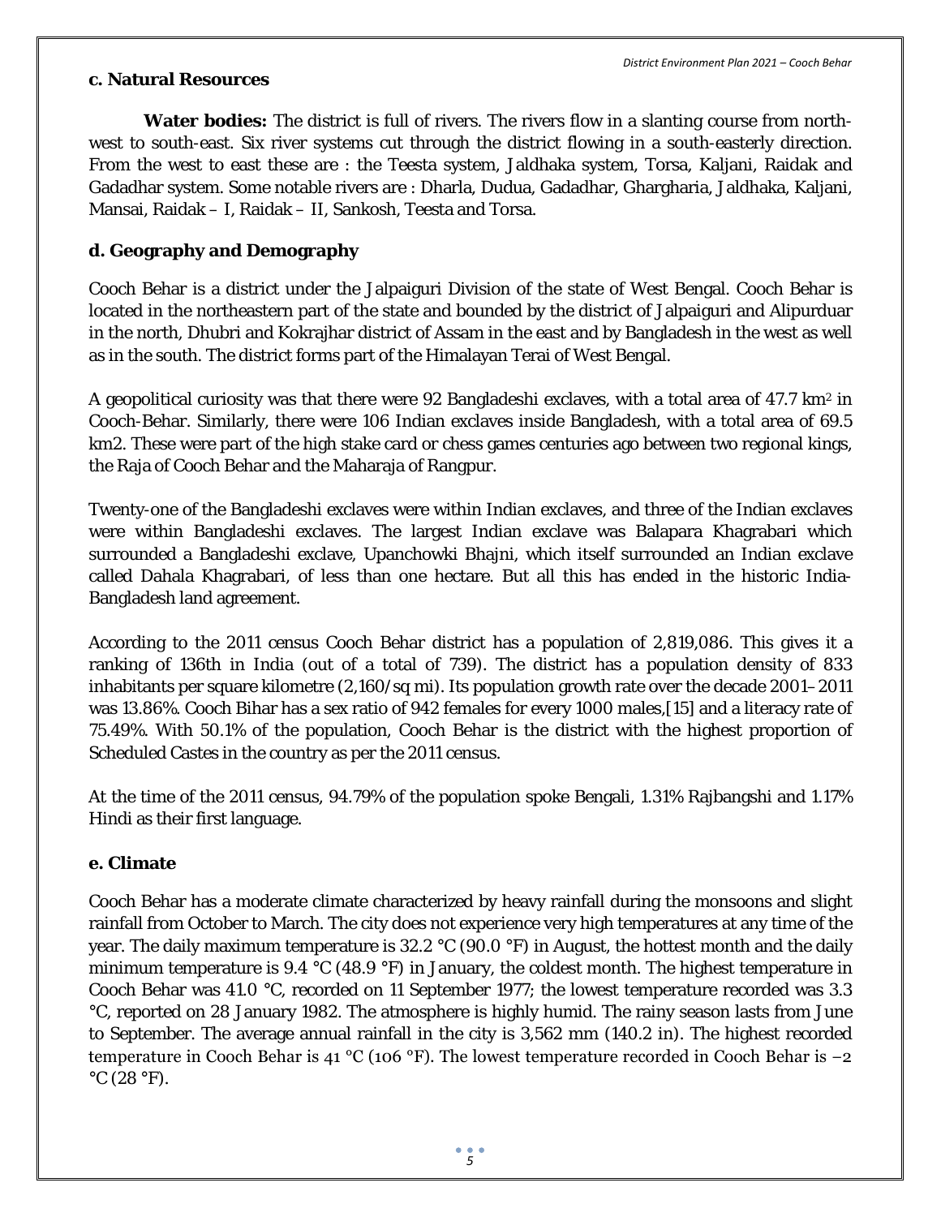### **c. Natural Resources**

**Water bodies:** The district is full of rivers. The rivers flow in a slanting course from northwest to south-east. Six river systems cut through the district flowing in a south-easterly direction. From the west to east these are : the Teesta system, Jaldhaka system, Torsa, Kaljani, Raidak and Gadadhar system. Some notable rivers are : Dharla, Dudua, Gadadhar, Ghargharia, Jaldhaka, Kaljani, Mansai, Raidak – I, Raidak – II, Sankosh, Teesta and Torsa.

# **d. Geography and Demography**

Cooch Behar is a district under the Jalpaiguri Division of the state of West Bengal. Cooch Behar is located in the northeastern part of the state and bounded by the district of Jalpaiguri and Alipurduar in the north, Dhubri and Kokrajhar district of Assam in the east and by Bangladesh in the west as well as in the south. The district forms part of the Himalayan Terai of West Bengal.

A geopolitical curiosity was that there were 92 Bangladeshi exclaves, with a total area of  $47.7 \text{ km}^2$  in Cooch-Behar. Similarly, there were 106 Indian exclaves inside Bangladesh, with a total area of 69.5 km2. These were part of the high stake card or chess games centuries ago between two regional kings, the Raja of Cooch Behar and the Maharaja of Rangpur.

Twenty-one of the Bangladeshi exclaves were within Indian exclaves, and three of the Indian exclaves were within Bangladeshi exclaves. The largest Indian exclave was Balapara Khagrabari which surrounded a Bangladeshi exclave, Upanchowki Bhajni, which itself surrounded an Indian exclave called Dahala Khagrabari, of less than one hectare. But all this has ended in the historic India-Bangladesh land agreement.

According to the 2011 census Cooch Behar district has a population of 2,819,086. This gives it a ranking of 136th in India (out of a total of 739). The district has a population density of 833 inhabitants per square kilometre (2,160/sq mi). Its population growth rate over the decade 2001–2011 was 13.86%. Cooch Bihar has a sex ratio of 942 females for every 1000 males,[15] and a literacy rate of 75.49%. With 50.1% of the population, Cooch Behar is the district with the highest proportion of Scheduled Castes in the country as per the 2011 census.

At the time of the 2011 census, 94.79% of the population spoke Bengali, 1.31% Rajbangshi and 1.17% Hindi as their first language.

## **e. Climate**

Cooch Behar has a moderate climate characterized by heavy rainfall during the monsoons and slight rainfall from October to March. The city does not experience very high temperatures at any time of the year. The daily maximum temperature is 32.2 °C (90.0 °F) in August, the hottest month and the daily minimum temperature is 9.4 °C (48.9 °F) in January, the coldest month. The highest temperature in Cooch Behar was 41.0 °C, recorded on 11 September 1977; the lowest temperature recorded was 3.3 °C, reported on 28 January 1982. The atmosphere is highly humid. The rainy season lasts from June to September. The average annual rainfall in the city is 3,562 mm (140.2 in). The highest recorded temperature in Cooch Behar is 41 °C (106 °F). The lowest temperature recorded in Cooch Behar is −2  $\rm{^{\circ}C}$  (28  $\rm{^{\circ}F}$ ).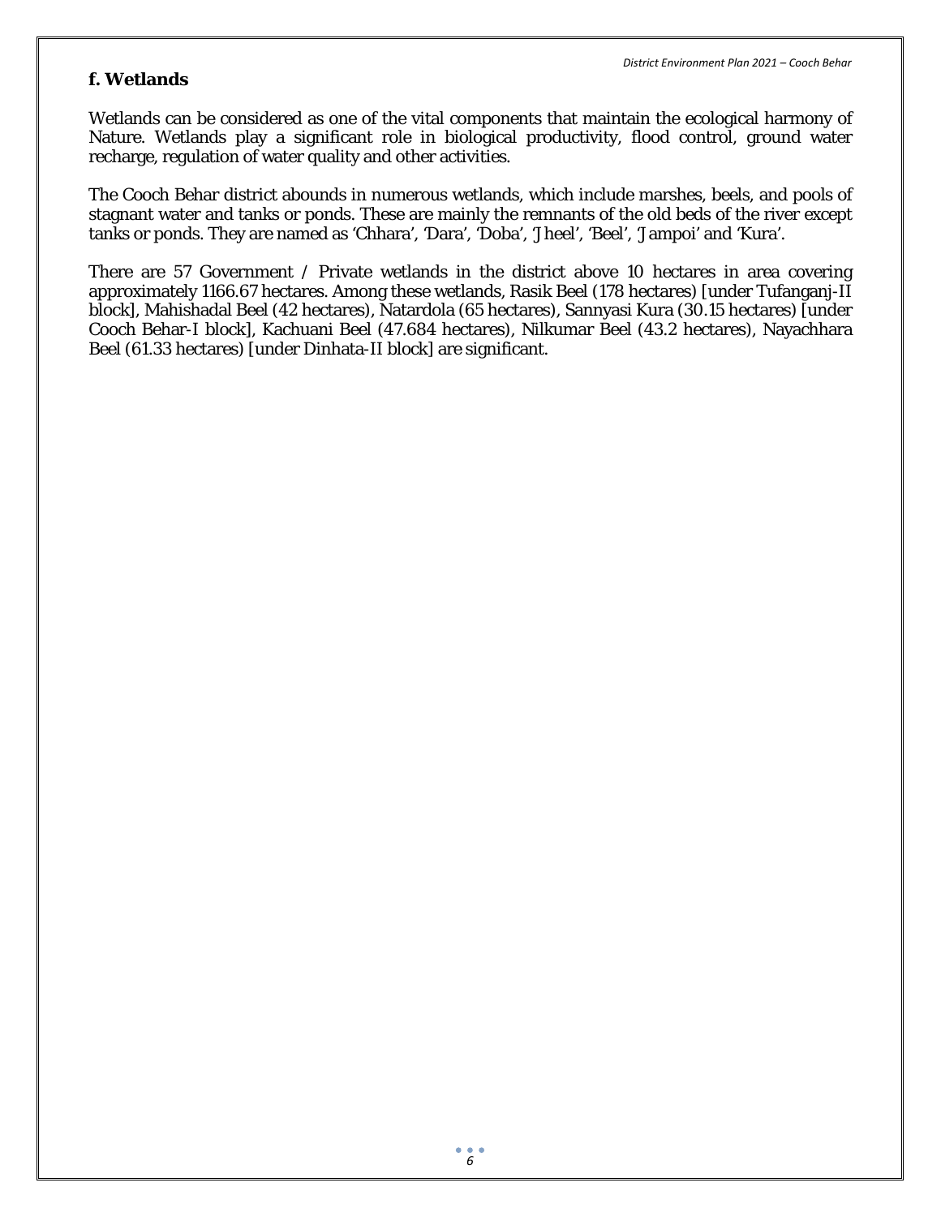### **f. Wetlands**

Wetlands can be considered as one of the vital components that maintain the ecological harmony of Nature. Wetlands play a significant role in biological productivity, flood control, ground water recharge, regulation of water quality and other activities.

The Cooch Behar district abounds in numerous wetlands, which include marshes, beels, and pools of stagnant water and tanks or ponds. These are mainly the remnants of the old beds of the river except tanks or ponds. They are named as 'Chhara', 'Dara', 'Doba', 'Jheel', 'Beel', 'Jampoi' and 'Kura'.

There are 57 Government / Private wetlands in the district above 10 hectares in area covering approximately 1166.67 hectares. Among these wetlands, Rasik Beel (178 hectares) [under Tufanganj-II block], Mahishadal Beel (42 hectares), Natardola (65 hectares), Sannyasi Kura (30.15 hectares) [under Cooch Behar-I block], Kachuani Beel (47.684 hectares), Nilkumar Beel (43.2 hectares), Nayachhara Beel (61.33 hectares) [under Dinhata-II block] are significant.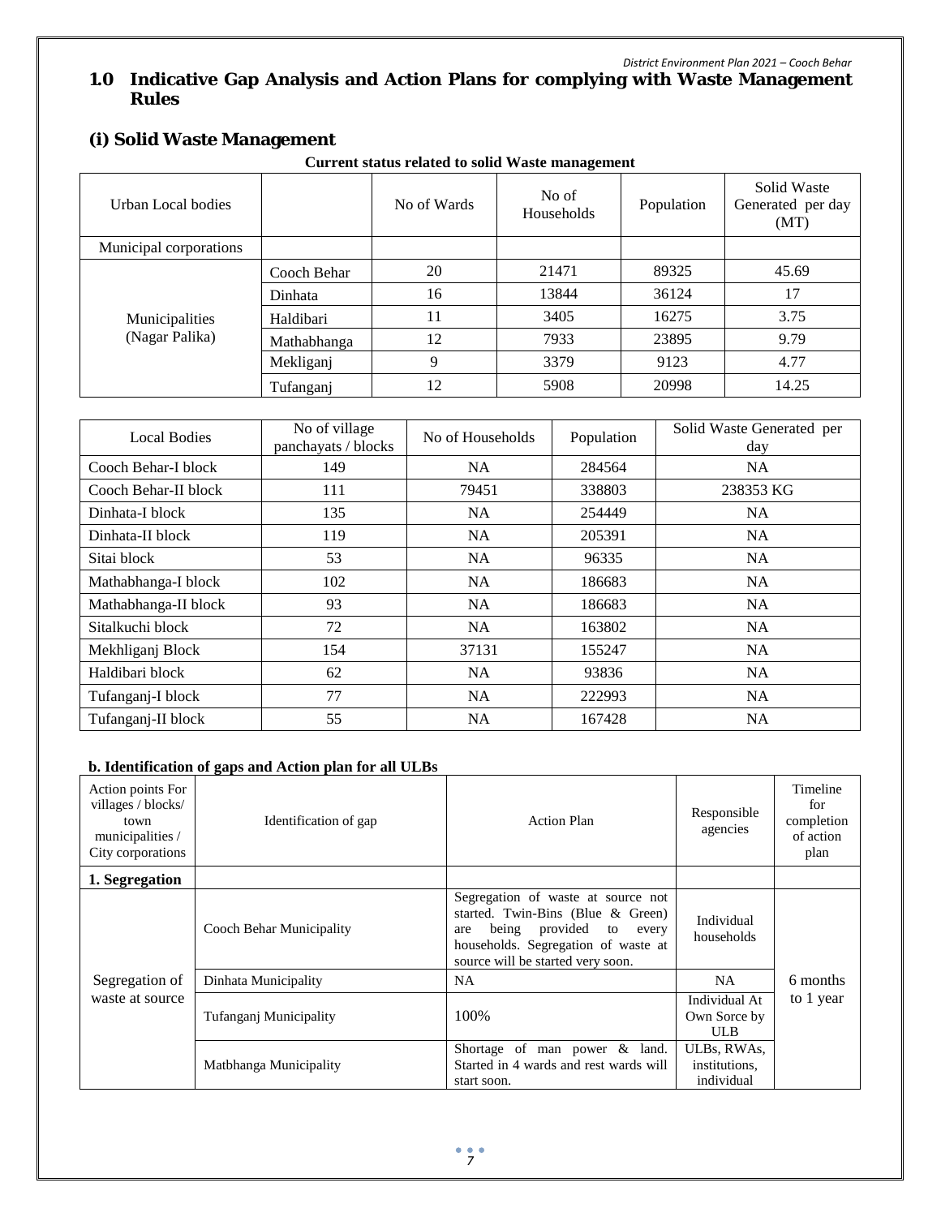# **1.0 Indicative Gap Analysis and Action Plans for complying with Waste Management Rules**

# **(i) Solid Waste Management**

**Current status related to solid Waste management**

| Urban Local bodies               |             | No of Wards | No of<br>Households | Population | Solid Waste<br>Generated per day<br>(MT) |
|----------------------------------|-------------|-------------|---------------------|------------|------------------------------------------|
| Municipal corporations           |             |             |                     |            |                                          |
| Municipalities<br>(Nagar Palika) | Cooch Behar | 20          | 21471               | 89325      | 45.69                                    |
|                                  | Dinhata     | 16          | 13844               | 36124      | 17                                       |
|                                  | Haldibari   | 11          | 3405                | 16275      | 3.75                                     |
|                                  | Mathabhanga | 12          | 7933                | 23895      | 9.79                                     |
|                                  | Mekliganj   | 9           | 3379                | 9123       | 4.77                                     |
|                                  | Tufanganj   | 12          | 5908                | 20998      | 14.25                                    |

| <b>Local Bodies</b>  | No of village<br>panchayats / blocks | No of Households | Population | Solid Waste Generated per<br>day |
|----------------------|--------------------------------------|------------------|------------|----------------------------------|
| Cooch Behar-I block  | 149                                  | NA               | 284564     | NA.                              |
| Cooch Behar-II block | 111                                  | 79451            | 338803     | 238353 KG                        |
| Dinhata-I block      | 135                                  | NA               | 254449     | <b>NA</b>                        |
| Dinhata-II block     | 119                                  | <b>NA</b>        | 205391     | <b>NA</b>                        |
| Sitai block          | 53                                   | <b>NA</b>        | 96335      | <b>NA</b>                        |
| Mathabhanga-I block  | 102                                  | <b>NA</b>        | 186683     | <b>NA</b>                        |
| Mathabhanga-II block | 93                                   | <b>NA</b>        | 186683     | <b>NA</b>                        |
| Sitalkuchi block     | 72                                   | <b>NA</b>        | 163802     | <b>NA</b>                        |
| Mekhliganj Block     | 154                                  | 37131            | 155247     | <b>NA</b>                        |
| Haldibari block      | 62                                   | <b>NA</b>        | 93836      | <b>NA</b>                        |
| Tufanganj-I block    | 77                                   | <b>NA</b>        | 222993     | <b>NA</b>                        |
| Tufanganj-II block   | 55                                   | NA               | 167428     | NA.                              |

#### **b. Identification of gaps and Action plan for all ULBs**

| Action points For<br>villages / blocks/<br>town<br>municipalities /<br>City corporations | Identification of gap    | <b>Action Plan</b>                                                                                                                                                                          | Responsible<br>agencies                     | Timeline<br>for<br>completion<br>of action<br>plan |
|------------------------------------------------------------------------------------------|--------------------------|---------------------------------------------------------------------------------------------------------------------------------------------------------------------------------------------|---------------------------------------------|----------------------------------------------------|
| 1. Segregation                                                                           |                          |                                                                                                                                                                                             |                                             |                                                    |
|                                                                                          | Cooch Behar Municipality | Segregation of waste at source not<br>started. Twin-Bins (Blue $\&$ Green)<br>being provided to<br>every<br>are<br>households. Segregation of waste at<br>source will be started very soon. | Individual<br>households                    |                                                    |
| Segregation of                                                                           | Dinhata Municipality     | <b>NA</b>                                                                                                                                                                                   | NA.                                         | 6 months                                           |
| waste at source                                                                          | Tufanganj Municipality   | 100%                                                                                                                                                                                        | Individual At<br>Own Sorce by<br><b>ULB</b> | to 1 year                                          |
|                                                                                          | Matbhanga Municipality   | Shortage of man power & land.<br>Started in 4 wards and rest wards will<br>start soon.                                                                                                      | ULBs, RWAs,<br>institutions.<br>individual  |                                                    |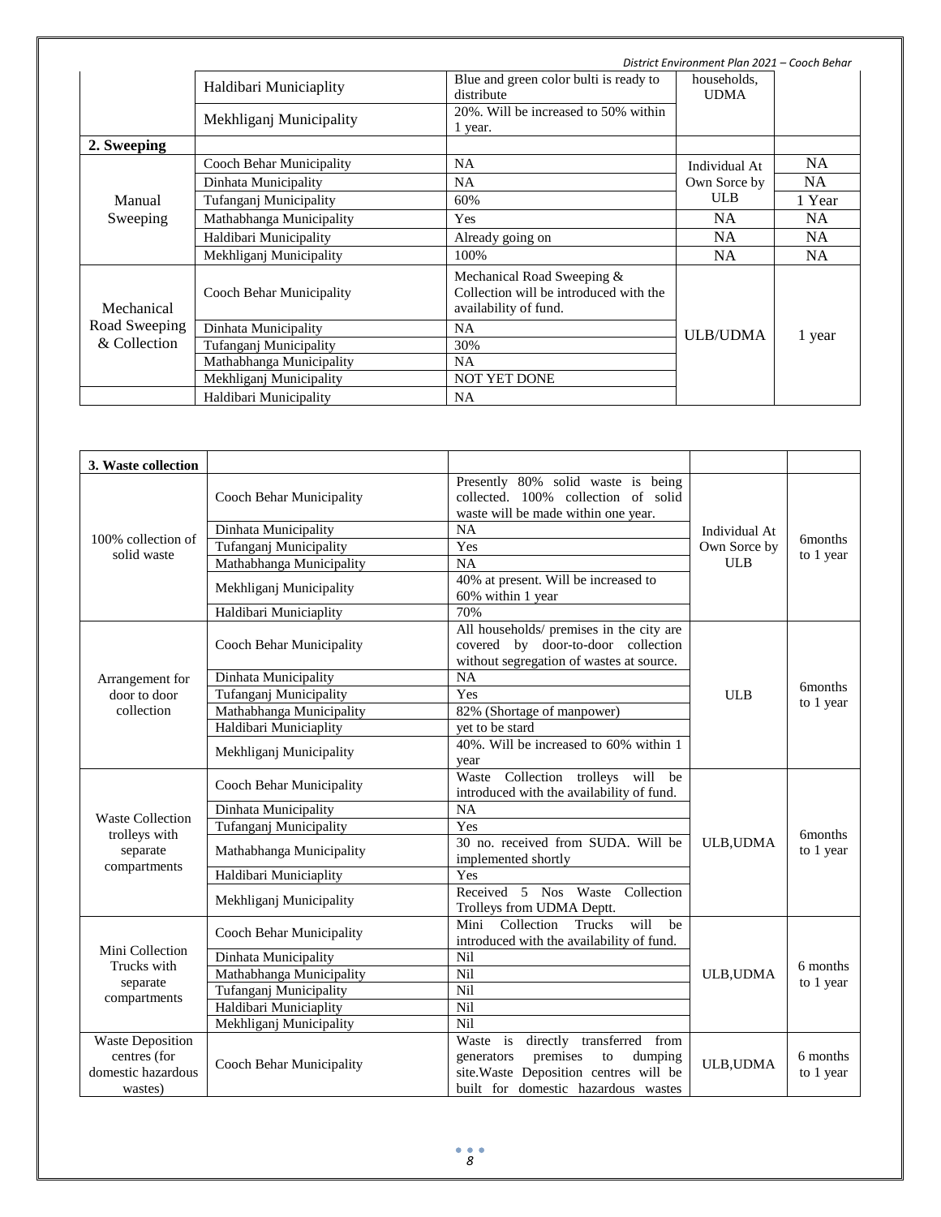|               | District Environment Plan 2021 - Cooch Behar |                                                                                               |                 |           |
|---------------|----------------------------------------------|-----------------------------------------------------------------------------------------------|-----------------|-----------|
|               | Haldibari Municiaplity                       | Blue and green color bulti is ready to<br>distribute                                          |                 |           |
|               | Mekhliganj Municipality                      | 20%. Will be increased to 50% within<br>1 year.                                               |                 |           |
| 2. Sweeping   |                                              |                                                                                               |                 |           |
|               | Cooch Behar Municipality                     | <b>NA</b>                                                                                     | Individual At   | <b>NA</b> |
|               | Dinhata Municipality                         | <b>NA</b>                                                                                     | Own Sorce by    | NA        |
| Manual        | Tufanganj Municipality                       | 60%                                                                                           | <b>ULB</b>      | 1 Year    |
| Sweeping      | Mathabhanga Municipality                     | Yes                                                                                           | NA.             | NA.       |
|               | Haldibari Municipality                       | Already going on                                                                              | NA              | <b>NA</b> |
|               | Mekhliganj Municipality                      | 100%                                                                                          | <b>NA</b>       | NA.       |
| Mechanical    | Cooch Behar Municipality                     | Mechanical Road Sweeping &<br>Collection will be introduced with the<br>availability of fund. |                 |           |
| Road Sweeping | Dinhata Municipality                         | <b>NA</b>                                                                                     | <b>ULB/UDMA</b> | 1 year    |
| & Collection  | Tufanganj Municipality                       | 30%                                                                                           |                 |           |
|               | Mathabhanga Municipality                     | NA.                                                                                           |                 |           |
|               | Mekhliganj Municipality                      | <b>NOT YET DONE</b>                                                                           |                 |           |
|               | Haldibari Municipality                       | NA                                                                                            |                 |           |

| 3. Waste collection                                                      |                                                                                       |                                                                                                                                                                   |                  |                       |
|--------------------------------------------------------------------------|---------------------------------------------------------------------------------------|-------------------------------------------------------------------------------------------------------------------------------------------------------------------|------------------|-----------------------|
|                                                                          | Cooch Behar Municipality                                                              | Presently 80% solid waste is being<br>collected. 100% collection of solid<br>waste will be made within one year.                                                  |                  |                       |
|                                                                          | Dinhata Municipality                                                                  | NA                                                                                                                                                                | Individual At    |                       |
| 100% collection of                                                       | Tufanganj Municipality                                                                | Yes                                                                                                                                                               | Own Sorce by     | <b>6months</b>        |
| solid waste                                                              | Mathabhanga Municipality                                                              | NA                                                                                                                                                                | <b>ULB</b>       | to 1 year             |
|                                                                          | Mekhliganj Municipality                                                               | 40% at present. Will be increased to<br>60% within 1 year                                                                                                         |                  |                       |
|                                                                          | Haldibari Municiaplity                                                                | 70%                                                                                                                                                               |                  |                       |
|                                                                          | Cooch Behar Municipality                                                              | All households/ premises in the city are<br>covered by door-to-door collection<br>without segregation of wastes at source.                                        |                  |                       |
| Arrangement for                                                          | Dinhata Municipality                                                                  | NA                                                                                                                                                                |                  | 6 <sub>months</sub>   |
| door to door                                                             | Tufanganj Municipality                                                                | Yes                                                                                                                                                               | <b>ULB</b>       | to 1 year             |
| collection                                                               | Mathabhanga Municipality                                                              | 82% (Shortage of manpower)                                                                                                                                        |                  |                       |
|                                                                          | Haldibari Municiaplity                                                                | vet to be stard                                                                                                                                                   |                  |                       |
|                                                                          | Mekhliganj Municipality                                                               | 40%. Will be increased to 60% within 1<br>year                                                                                                                    |                  |                       |
|                                                                          | Cooch Behar Municipality                                                              | Waste Collection trolleys will be<br>introduced with the availability of fund.                                                                                    |                  | <b>6months</b>        |
|                                                                          | Dinhata Municipality                                                                  | <b>NA</b>                                                                                                                                                         |                  |                       |
| <b>Waste Collection</b>                                                  | Tufanganj Municipality                                                                | Yes                                                                                                                                                               |                  |                       |
| trolleys with<br>separate<br>compartments                                | 30 no. received from SUDA. Will be<br>Mathabhanga Municipality<br>implemented shortly |                                                                                                                                                                   | <b>ULB, UDMA</b> | to 1 year             |
|                                                                          | Haldibari Municiaplity                                                                | Yes                                                                                                                                                               |                  |                       |
|                                                                          | Mekhliganj Municipality                                                               | Received 5 Nos Waste Collection<br>Trolleys from UDMA Deptt.                                                                                                      |                  |                       |
|                                                                          | Cooch Behar Municipality                                                              | Trucks<br>will<br>Collection<br>Mini<br>be<br>introduced with the availability of fund.                                                                           |                  |                       |
| Mini Collection                                                          | Dinhata Municipality                                                                  | Nil                                                                                                                                                               |                  |                       |
| Trucks with<br>separate<br>compartments                                  | Mathabhanga Municipality                                                              | Nil                                                                                                                                                               | <b>ULB, UDMA</b> | 6 months              |
|                                                                          | Tufanganj Municipality                                                                | Nil                                                                                                                                                               |                  | to 1 year             |
|                                                                          | Haldibari Municiaplity                                                                | Nil                                                                                                                                                               |                  |                       |
|                                                                          | Mekhliganj Municipality                                                               | <b>Nil</b>                                                                                                                                                        |                  |                       |
| <b>Waste Deposition</b><br>centres (for<br>domestic hazardous<br>wastes) | Cooch Behar Municipality                                                              | Waste is<br>directly transferred from<br>premises<br>dumping<br>to<br>generators<br>site. Waste Deposition centres will be<br>built for domestic hazardous wastes | <b>ULB.UDMA</b>  | 6 months<br>to 1 year |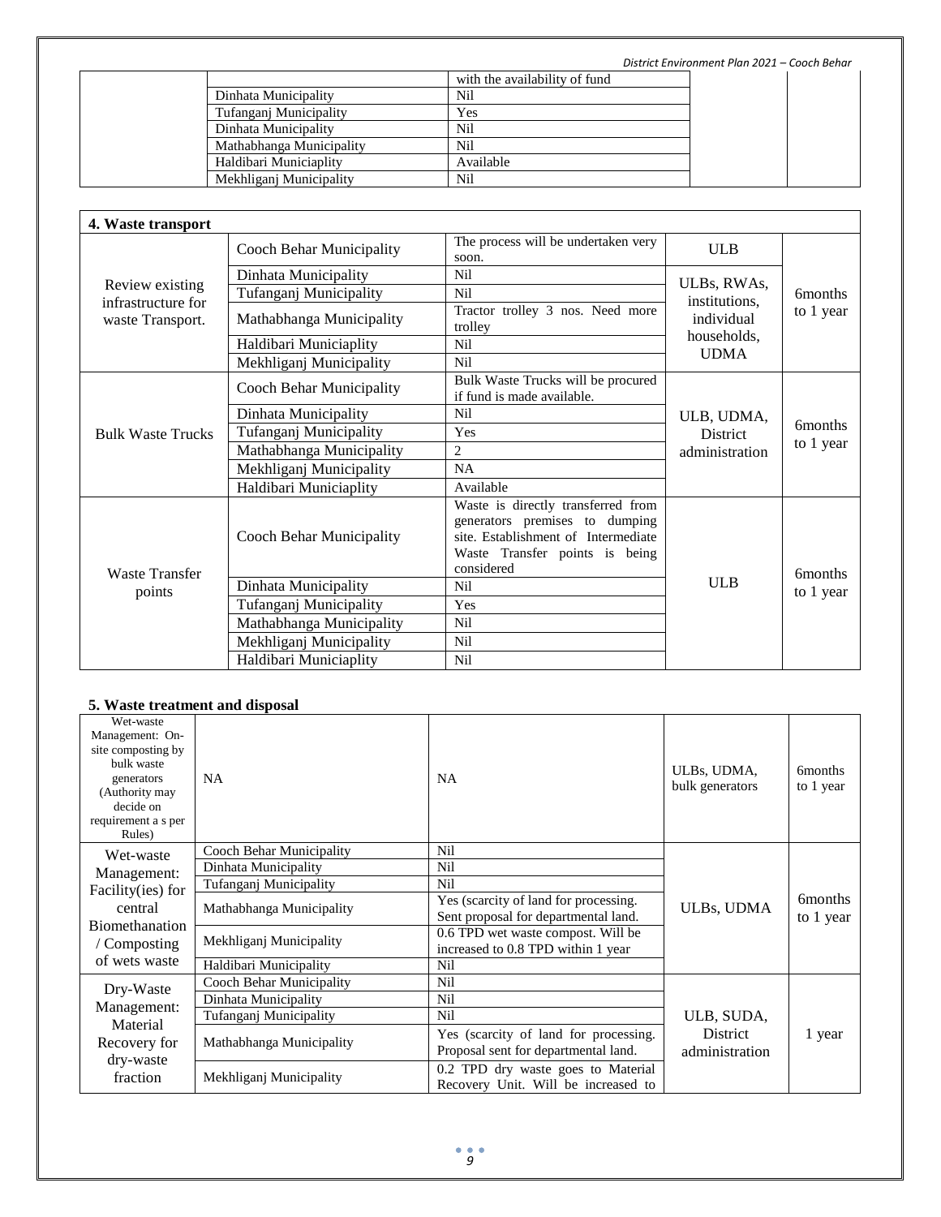*District Environment Plan 2021 – Cooch Behar*

|                          | with the availability of fund |  |
|--------------------------|-------------------------------|--|
| Dinhata Municipality     | Nil                           |  |
| Tufanganj Municipality   | Yes                           |  |
| Dinhata Municipality     | Nil                           |  |
| Mathabhanga Municipality | Nil                           |  |
| Haldibari Municiaplity   | Available                     |  |
| Mekhliganj Municipality  | Nil                           |  |

| 4. Waste transport                    |                                 |                                                                                                                                                             |                            |                             |
|---------------------------------------|---------------------------------|-------------------------------------------------------------------------------------------------------------------------------------------------------------|----------------------------|-----------------------------|
|                                       | <b>Cooch Behar Municipality</b> | The process will be undertaken very<br>soon.                                                                                                                | <b>ULB</b>                 |                             |
|                                       | Dinhata Municipality            | Nil                                                                                                                                                         | ULBs, RWAs,                |                             |
| Review existing<br>infrastructure for | Tufanganj Municipality          | Nil                                                                                                                                                         | institutions.              | <b>6</b> months             |
| waste Transport.                      | Mathabhanga Municipality        | Tractor trolley 3 nos. Need more<br>trolley                                                                                                                 | individual                 | to 1 year                   |
|                                       | Haldibari Municiaplity          | Nil                                                                                                                                                         | households.<br><b>UDMA</b> |                             |
|                                       | Mekhliganj Municipality         | Nil                                                                                                                                                         |                            |                             |
|                                       | <b>Cooch Behar Municipality</b> | Bulk Waste Trucks will be procured<br>if fund is made available.                                                                                            |                            | <b>6months</b><br>to 1 year |
|                                       | Dinhata Municipality            | Nil                                                                                                                                                         | ULB, UDMA,                 |                             |
| <b>Bulk Waste Trucks</b>              | Tufanganj Municipality          | Yes                                                                                                                                                         | <b>District</b>            |                             |
|                                       | Mathabhanga Municipality        | $\overline{c}$                                                                                                                                              | administration             |                             |
|                                       | Mekhliganj Municipality         | <b>NA</b>                                                                                                                                                   |                            |                             |
|                                       | Haldibari Municiaplity          | Available                                                                                                                                                   |                            |                             |
| <b>Waste Transfer</b>                 | <b>Cooch Behar Municipality</b> | Waste is directly transferred from<br>generators premises to dumping<br>site. Establishment of Intermediate<br>Waste Transfer points is being<br>considered |                            | <b>6months</b>              |
| points                                | Dinhata Municipality            | <b>Nil</b>                                                                                                                                                  | <b>ULB</b>                 | to 1 year                   |
|                                       | Tufanganj Municipality          | Yes                                                                                                                                                         |                            |                             |
|                                       | Mathabhanga Municipality        | Nil                                                                                                                                                         |                            |                             |
|                                       | Mekhliganj Municipality         | Nil                                                                                                                                                         |                            |                             |
|                                       | Haldibari Municiaplity          | Nil                                                                                                                                                         |                            |                             |

### **5. Waste treatment and disposal**

| Wet-waste<br>Management: On-<br>site composting by<br>bulk waste<br>generators<br>(Authority may<br>decide on<br>requirement a s per<br>Rules) | <b>NA</b>                | <b>NA</b>                                                                     | ULBs, UDMA,<br>bulk generators    | <b>6months</b><br>to 1 year       |
|------------------------------------------------------------------------------------------------------------------------------------------------|--------------------------|-------------------------------------------------------------------------------|-----------------------------------|-----------------------------------|
| Wet-waste                                                                                                                                      | Cooch Behar Municipality | Nil                                                                           |                                   |                                   |
| Management:                                                                                                                                    | Dinhata Municipality     | Nil                                                                           |                                   |                                   |
| Facility(ies) for                                                                                                                              | Tufanganj Municipality   | Nil                                                                           |                                   |                                   |
| central                                                                                                                                        | Mathabhanga Municipality | Yes (scarcity of land for processing.<br>Sent proposal for departmental land. | ULBs, UDMA                        | 6 <sub>m</sub> onths<br>to 1 year |
| Biomethanation<br>Composting                                                                                                                   | Mekhliganj Municipality  | 0.6 TPD wet waste compost. Will be<br>increased to 0.8 TPD within 1 year      |                                   |                                   |
| of wets waste                                                                                                                                  | Haldibari Municipality   | Nil                                                                           |                                   |                                   |
| Dry-Waste                                                                                                                                      | Cooch Behar Municipality | Nil                                                                           |                                   |                                   |
|                                                                                                                                                | Dinhata Municipality     | Nil                                                                           |                                   |                                   |
| Management:                                                                                                                                    | Tufanganj Municipality   | Nil                                                                           | ULB, SUDA,                        |                                   |
| Material<br>Recovery for                                                                                                                       | Mathabhanga Municipality | Yes (scarcity of land for processing.<br>Proposal sent for departmental land. | <b>District</b><br>administration | 1 year                            |
| dry-waste<br>fraction                                                                                                                          | Mekhliganj Municipality  | 0.2 TPD dry waste goes to Material<br>Recovery Unit. Will be increased to     |                                   |                                   |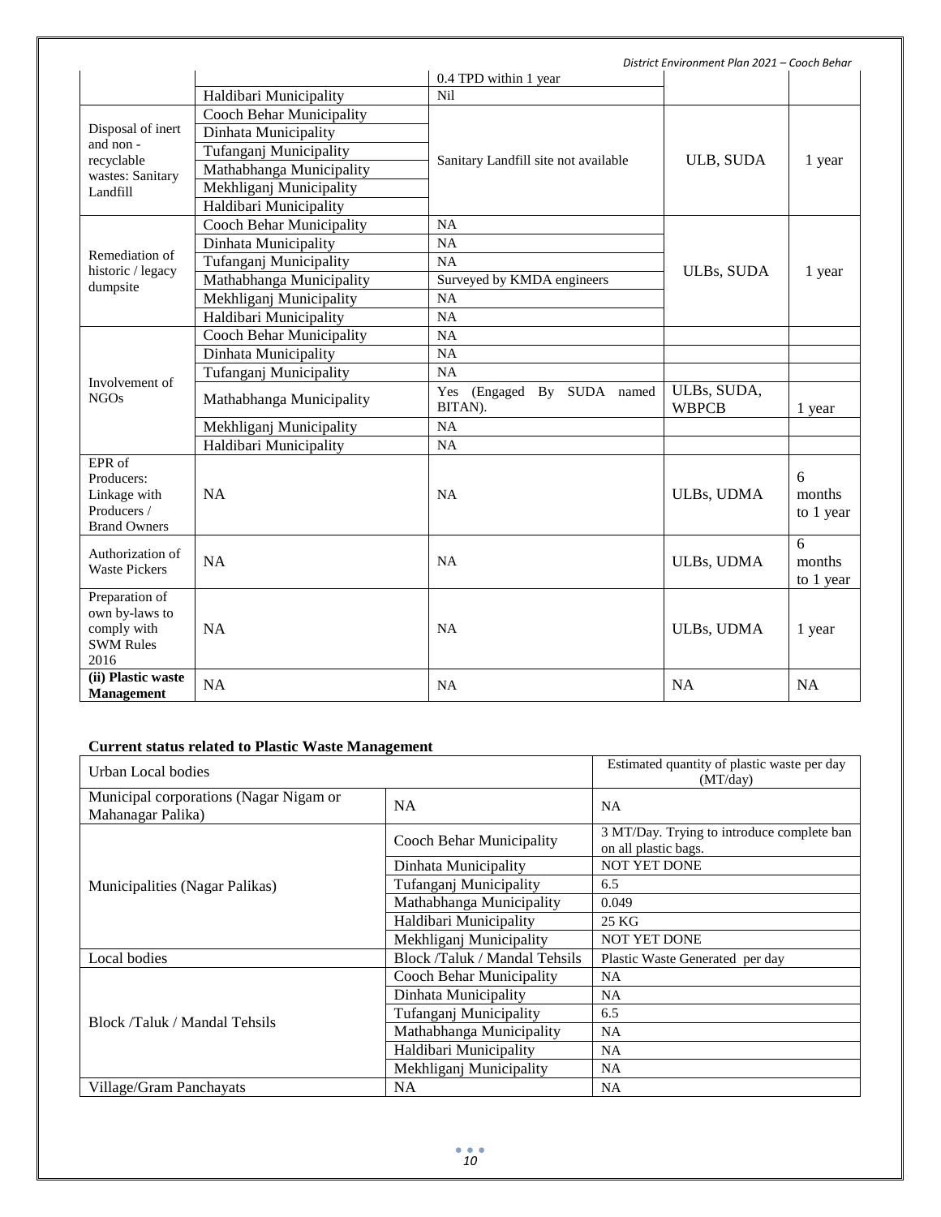| District Environment Plan 2021 - Cooch Behar                                |                                 |                                       |                             |                          |
|-----------------------------------------------------------------------------|---------------------------------|---------------------------------------|-----------------------------|--------------------------|
|                                                                             |                                 | 0.4 TPD within 1 year                 |                             |                          |
|                                                                             | Haldibari Municipality          | Nil                                   |                             |                          |
|                                                                             | <b>Cooch Behar Municipality</b> |                                       |                             |                          |
| Disposal of inert                                                           | Dinhata Municipality            |                                       |                             |                          |
| and non-<br>recyclable                                                      | Tufanganj Municipality          | Sanitary Landfill site not available  | ULB, SUDA                   | 1 year                   |
| wastes: Sanitary                                                            | Mathabhanga Municipality        |                                       |                             |                          |
| Landfill                                                                    | Mekhliganj Municipality         |                                       |                             |                          |
|                                                                             | Haldibari Municipality          |                                       |                             |                          |
|                                                                             | <b>Cooch Behar Municipality</b> | NA                                    |                             |                          |
|                                                                             | Dinhata Municipality            | <b>NA</b>                             |                             |                          |
| Remediation of                                                              | Tufanganj Municipality          | <b>NA</b>                             |                             |                          |
| historic / legacy<br>dumpsite                                               | Mathabhanga Municipality        | Surveyed by KMDA engineers            | ULBs, SUDA                  | 1 year                   |
|                                                                             | Mekhliganj Municipality         | <b>NA</b>                             |                             |                          |
|                                                                             | Haldibari Municipality          | NA                                    |                             |                          |
|                                                                             | <b>Cooch Behar Municipality</b> | NA                                    |                             |                          |
|                                                                             | Dinhata Municipality            | NA                                    |                             |                          |
|                                                                             | Tufanganj Municipality          | NA                                    |                             |                          |
| Involvement of<br><b>NGOs</b>                                               | Mathabhanga Municipality        | Yes (Engaged By SUDA named<br>BITAN). | ULBs, SUDA,<br><b>WBPCB</b> | 1 year                   |
|                                                                             | Mekhliganj Municipality         | <b>NA</b>                             |                             |                          |
|                                                                             | Haldibari Municipality          | <b>NA</b>                             |                             |                          |
| EPR of<br>Producers:<br>Linkage with<br>Producers /<br><b>Brand Owners</b>  | <b>NA</b>                       | <b>NA</b>                             | ULBs, UDMA                  | 6<br>months<br>to 1 year |
| Authorization of<br><b>Waste Pickers</b>                                    | NA                              | <b>NA</b>                             | ULBs, UDMA                  | 6<br>months<br>to 1 year |
| Preparation of<br>own by-laws to<br>comply with<br><b>SWM Rules</b><br>2016 | <b>NA</b>                       | <b>NA</b>                             | ULBs, UDMA                  | 1 year                   |
| (ii) Plastic waste<br><b>Management</b>                                     | NA                              | <b>NA</b>                             | <b>NA</b>                   | <b>NA</b>                |

# **Current status related to Plastic Waste Management**

| Urban Local bodies                                          |                                      | Estimated quantity of plastic waste per day<br>(MT/day)            |
|-------------------------------------------------------------|--------------------------------------|--------------------------------------------------------------------|
| Municipal corporations (Nagar Nigam or<br>Mahanagar Palika) | NA                                   | <b>NA</b>                                                          |
|                                                             | Cooch Behar Municipality             | 3 MT/Day. Trying to introduce complete ban<br>on all plastic bags. |
|                                                             | Dinhata Municipality                 | <b>NOT YET DONE</b>                                                |
| Municipalities (Nagar Palikas)                              | Tufanganj Municipality               | 6.5                                                                |
|                                                             | Mathabhanga Municipality             | 0.049                                                              |
|                                                             | Haldibari Municipality               | 25 KG                                                              |
|                                                             | Mekhliganj Municipality              | <b>NOT YET DONE</b>                                                |
| Local bodies                                                | <b>Block /Taluk / Mandal Tehsils</b> | Plastic Waste Generated per day                                    |
|                                                             | Cooch Behar Municipality             | <b>NA</b>                                                          |
|                                                             | Dinhata Municipality                 | NA.                                                                |
| Block /Taluk / Mandal Tehsils                               | Tufanganj Municipality               | 6.5                                                                |
|                                                             | Mathabhanga Municipality             | <b>NA</b>                                                          |
|                                                             | Haldibari Municipality               | <b>NA</b>                                                          |
|                                                             | Mekhliganj Municipality              | <b>NA</b>                                                          |
| Village/Gram Panchayats                                     | <b>NA</b>                            | NA                                                                 |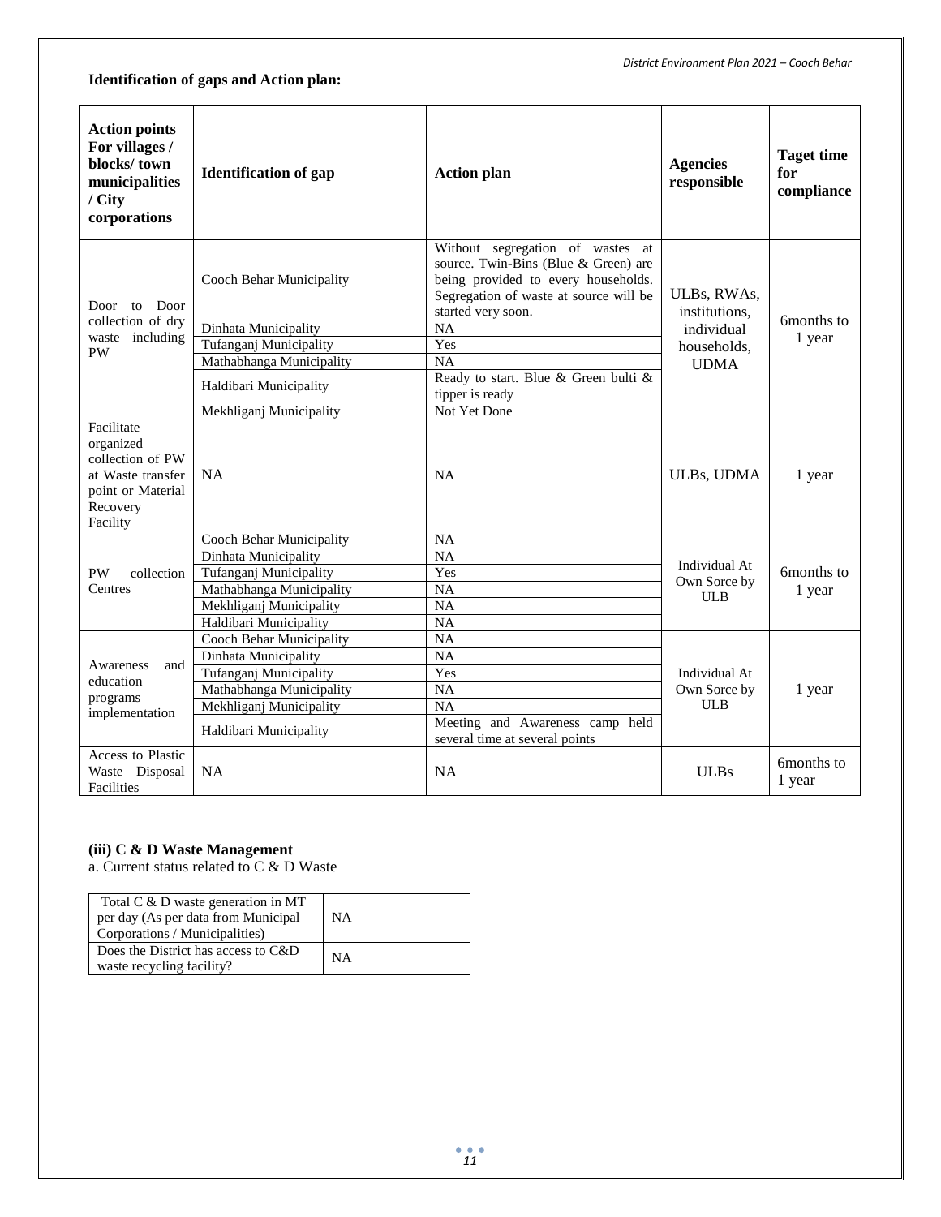# **Identification of gaps and Action plan:**

| <b>Action points</b><br>For villages /<br>blocks/town<br>municipalities<br>/ City<br>corporations             | <b>Identification of gap</b> | <b>Action plan</b>                                                                                                                                                                 | <b>Agencies</b><br>responsible | <b>Taget time</b><br>for<br>compliance |  |
|---------------------------------------------------------------------------------------------------------------|------------------------------|------------------------------------------------------------------------------------------------------------------------------------------------------------------------------------|--------------------------------|----------------------------------------|--|
| Door<br>Door<br>to                                                                                            | Cooch Behar Municipality     | Without segregation of wastes<br>at<br>source. Twin-Bins (Blue & Green) are<br>being provided to every households.<br>Segregation of waste at source will be<br>started very soon. | ULBs, RWAs,<br>institutions,   | 6months to                             |  |
| collection of dry                                                                                             | Dinhata Municipality         | NA                                                                                                                                                                                 | individual                     |                                        |  |
| waste including<br><b>PW</b>                                                                                  | Tufanganj Municipality       | Yes                                                                                                                                                                                | households.                    | 1 year                                 |  |
|                                                                                                               | Mathabhanga Municipality     | <b>NA</b>                                                                                                                                                                          | <b>UDMA</b>                    |                                        |  |
|                                                                                                               | Haldibari Municipality       | Ready to start. Blue & Green bulti &<br>tipper is ready                                                                                                                            |                                |                                        |  |
|                                                                                                               | Mekhliganj Municipality      | Not Yet Done                                                                                                                                                                       |                                |                                        |  |
| Facilitate<br>organized<br>collection of PW<br>at Waste transfer<br>point or Material<br>Recovery<br>Facility | <b>NA</b>                    | <b>NA</b>                                                                                                                                                                          | <b>ULBs, UDMA</b>              | 1 year                                 |  |
|                                                                                                               | Cooch Behar Municipality     | NA                                                                                                                                                                                 |                                |                                        |  |
|                                                                                                               | Dinhata Municipality         | <b>NA</b>                                                                                                                                                                          | Individual At                  |                                        |  |
| <b>PW</b><br>collection                                                                                       | Tufanganj Municipality       | Yes                                                                                                                                                                                | Own Sorce by                   | 6months to                             |  |
| Centres                                                                                                       | Mathabhanga Municipality     | <b>NA</b>                                                                                                                                                                          | <b>ULB</b>                     | 1 year                                 |  |
|                                                                                                               | Mekhliganj Municipality      | <b>NA</b>                                                                                                                                                                          |                                |                                        |  |
|                                                                                                               | Haldibari Municipality       | <b>NA</b>                                                                                                                                                                          |                                |                                        |  |
|                                                                                                               | Cooch Behar Municipality     | <b>NA</b>                                                                                                                                                                          |                                |                                        |  |
| Awareness<br>and                                                                                              | Dinhata Municipality         | <b>NA</b>                                                                                                                                                                          |                                |                                        |  |
| education                                                                                                     | Tufanganj Municipality       | Yes                                                                                                                                                                                | Individual At                  |                                        |  |
| programs                                                                                                      | Mathabhanga Municipality     | NA                                                                                                                                                                                 | Own Sorce by                   | 1 year                                 |  |
| implementation                                                                                                | Mekhliganj Municipality      | <b>NA</b>                                                                                                                                                                          | <b>ULB</b>                     |                                        |  |
|                                                                                                               | Haldibari Municipality       | Meeting and Awareness camp held<br>several time at several points                                                                                                                  |                                |                                        |  |
| Access to Plastic<br>Waste Disposal<br>Facilities                                                             | <b>NA</b>                    | <b>NA</b>                                                                                                                                                                          | <b>ULBs</b>                    | 6months to<br>1 year                   |  |

#### **(iii) C & D Waste Management**

a. Current status related to C & D Waste

| Total C & D waste generation in MT<br>per day (As per data from Municipal<br>Corporations / Municipalities) | <b>NA</b> |
|-------------------------------------------------------------------------------------------------------------|-----------|
| Does the District has access to C&D<br>waste recycling facility?                                            | <b>NA</b> |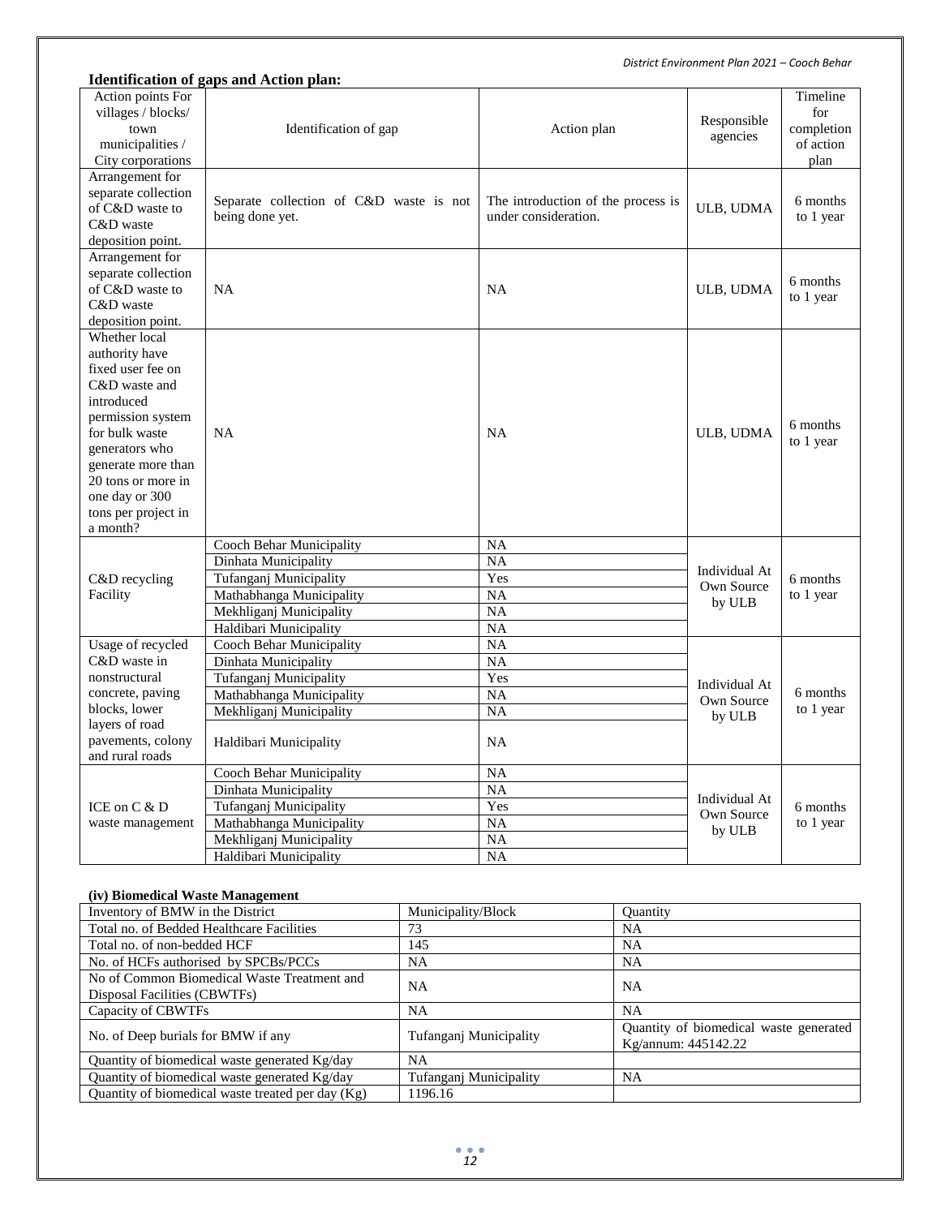|                                                                                                                                                                                                                                               | <b>Identification of gaps and Action plan:</b>                                                                                                              |                                                                      |                                       |                                                    |
|-----------------------------------------------------------------------------------------------------------------------------------------------------------------------------------------------------------------------------------------------|-------------------------------------------------------------------------------------------------------------------------------------------------------------|----------------------------------------------------------------------|---------------------------------------|----------------------------------------------------|
| Action points For<br>villages / blocks/<br>town<br>municipalities /<br>City corporations                                                                                                                                                      | Identification of gap                                                                                                                                       | Action plan                                                          | Responsible<br>agencies               | Timeline<br>for<br>completion<br>of action<br>plan |
| Arrangement for<br>separate collection<br>of C&D waste to<br>C&D waste<br>deposition point.                                                                                                                                                   | Separate collection of C&D waste is not<br>being done yet.                                                                                                  | The introduction of the process is<br>under consideration.           | ULB, UDMA                             | 6 months<br>to 1 year                              |
| Arrangement for<br>separate collection<br>of C&D waste to<br>C&D waste<br>deposition point.                                                                                                                                                   | <b>NA</b>                                                                                                                                                   | NA                                                                   | ULB, UDMA                             | 6 months<br>to 1 year                              |
| Whether local<br>authority have<br>fixed user fee on<br>C&D waste and<br>introduced<br>permission system<br>for bulk waste<br>generators who<br>generate more than<br>20 tons or more in<br>one day or 300<br>tons per project in<br>a month? | <b>NA</b>                                                                                                                                                   | NA                                                                   | ULB, UDMA                             | 6 months<br>to 1 year                              |
| C&D recycling<br>Facility                                                                                                                                                                                                                     | Cooch Behar Municipality<br>Dinhata Municipality<br>Tufanganj Municipality<br>Mathabhanga Municipality<br>Mekhliganj Municipality<br>Haldibari Municipality | <b>NA</b><br><b>NA</b><br>Yes<br><b>NA</b><br><b>NA</b><br><b>NA</b> | Individual At<br>Own Source<br>by ULB | 6 months<br>to 1 year                              |
| Usage of recycled<br>C&D waste in<br>nonstructural<br>concrete, paving<br>blocks, lower<br>layers of road<br>pavements, colony<br>and rural roads                                                                                             | Cooch Behar Municipality<br>Dinhata Municipality<br>Tufanganj Municipality<br>Mathabhanga Municipality<br>Mekhliganj Municipality<br>Haldibari Municipality | <b>NA</b><br><b>NA</b><br>Yes<br><b>NA</b><br><b>NA</b><br><b>NA</b> | Individual At<br>Own Source<br>by ULB | 6 months<br>to 1 year                              |
| ICE on $C & D$<br>waste management                                                                                                                                                                                                            | Cooch Behar Municipality<br>Dinhata Municipality<br>Tufanganj Municipality<br>Mathabhanga Municipality<br>Mekhliganj Municipality<br>Haldibari Municipality | <b>NA</b><br><b>NA</b><br>Yes<br>NA<br><b>NA</b><br><b>NA</b>        | Individual At<br>Own Source<br>by ULB | 6 months<br>to 1 year                              |

#### **(iv) Biomedical Waste Management**

| Inventory of BMW in the District                                            | Municipality/Block     | <b>Ouantity</b>                                               |
|-----------------------------------------------------------------------------|------------------------|---------------------------------------------------------------|
| Total no. of Bedded Healthcare Facilities                                   | 73                     | NA                                                            |
| Total no. of non-bedded HCF                                                 | 145                    | NA                                                            |
| No. of HCFs authorised by SPCBs/PCCs                                        | <b>NA</b>              | <b>NA</b>                                                     |
| No of Common Biomedical Waste Treatment and<br>Disposal Facilities (CBWTFs) | <b>NA</b>              | NA                                                            |
| Capacity of CBWTFs                                                          | <b>NA</b>              | <b>NA</b>                                                     |
| No. of Deep burials for BMW if any                                          | Tufangani Municipality | Quantity of biomedical waste generated<br>Kg/annum: 445142.22 |
| Quantity of biomedical waste generated Kg/day                               | NA                     |                                                               |
| Quantity of biomedical waste generated Kg/day                               | Tufanganj Municipality | <b>NA</b>                                                     |
| Quantity of biomedical waste treated per day $(Kg)$                         | 1196.16                |                                                               |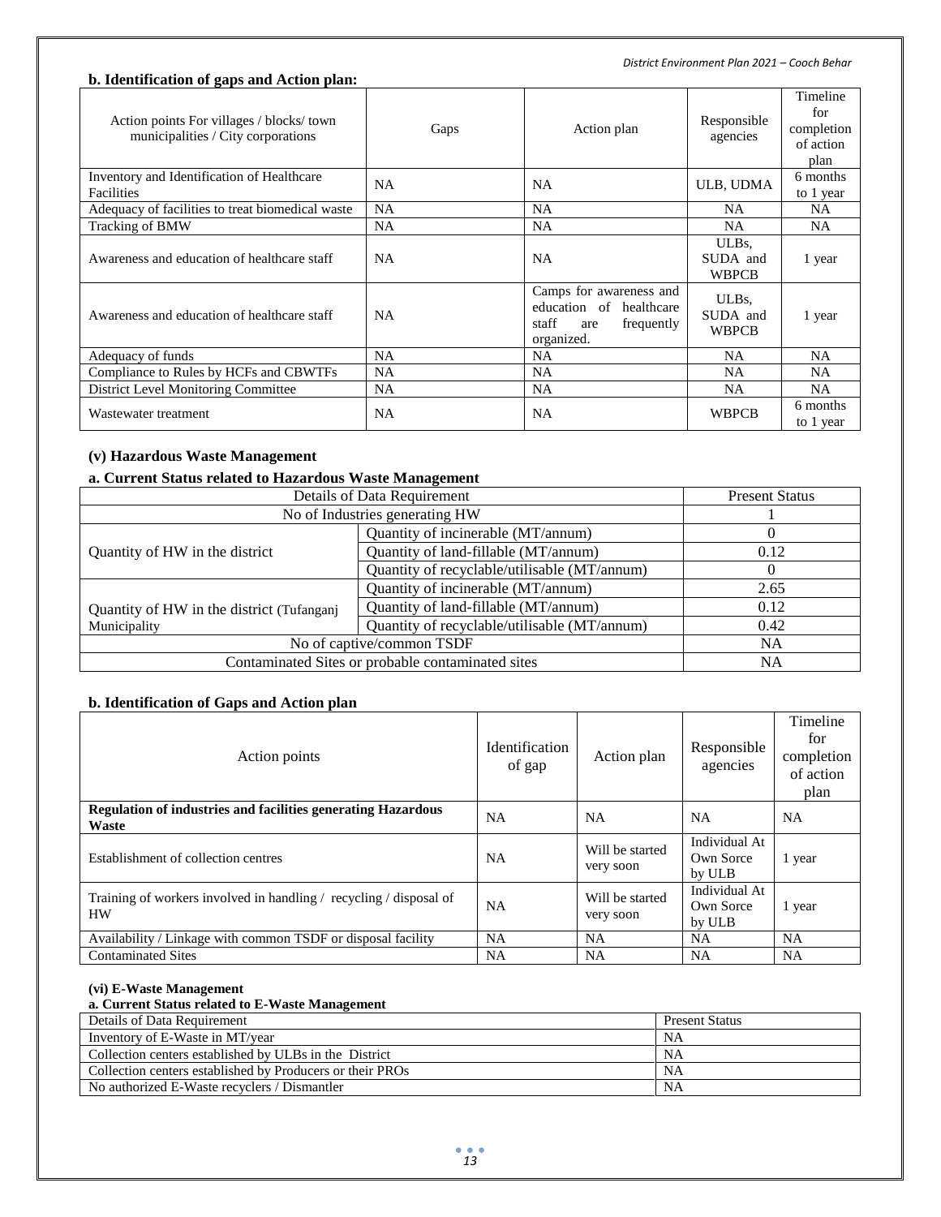### **b. Identification of gaps and Action plan:**

| Action points For villages / blocks/ town<br>municipalities / City corporations | Gaps      | Action plan                                                                                    | Responsible<br>agencies                      | Timeline<br>for<br>completion<br>of action<br>plan |
|---------------------------------------------------------------------------------|-----------|------------------------------------------------------------------------------------------------|----------------------------------------------|----------------------------------------------------|
| Inventory and Identification of Healthcare<br>Facilities                        | <b>NA</b> | <b>NA</b>                                                                                      | ULB, UDMA                                    | 6 months<br>to 1 year                              |
| Adequacy of facilities to treat biomedical waste                                | <b>NA</b> | <b>NA</b>                                                                                      | <b>NA</b>                                    | <b>NA</b>                                          |
| Tracking of BMW                                                                 | <b>NA</b> | <b>NA</b>                                                                                      | NA.                                          | NA.                                                |
| Awareness and education of healthcare staff                                     | <b>NA</b> | NA                                                                                             | ULB <sub>s</sub><br>SUDA and<br><b>WBPCB</b> | 1 year                                             |
| Awareness and education of healthcare staff                                     | <b>NA</b> | Camps for awareness and<br>education of healthcare<br>staff<br>frequently<br>are<br>organized. | ULBs,<br>SUDA and<br><b>WBPCB</b>            | 1 year                                             |
| Adequacy of funds                                                               | <b>NA</b> | <b>NA</b>                                                                                      | <b>NA</b>                                    | <b>NA</b>                                          |
| Compliance to Rules by HCFs and CBWTFs                                          | <b>NA</b> | <b>NA</b>                                                                                      | <b>NA</b>                                    | <b>NA</b>                                          |
| <b>District Level Monitoring Committee</b>                                      | <b>NA</b> | <b>NA</b>                                                                                      | <b>NA</b>                                    | <b>NA</b>                                          |
| Wastewater treatment                                                            | NA        | <b>NA</b>                                                                                      | <b>WBPCB</b>                                 | 6 months<br>to 1 year                              |

### **(v) Hazardous Waste Management**

#### **a. Current Status related to Hazardous Waste Management**

| Details of Data Requirement                                  | <b>Present Status</b>                        |      |
|--------------------------------------------------------------|----------------------------------------------|------|
|                                                              | No of Industries generating HW               |      |
|                                                              | Quantity of incinerable (MT/annum)           |      |
| Quantity of HW in the district                               | Quantity of land-fillable (MT/annum)         | 0.12 |
|                                                              | Quantity of recyclable/utilisable (MT/annum) | 0    |
| Quantity of incinerable (MT/annum)                           |                                              | 2.65 |
| Quantity of HW in the district (Tufanganj                    | Quantity of land-fillable (MT/annum)         | 0.12 |
| Quantity of recyclable/utilisable (MT/annum)<br>Municipality |                                              | 0.42 |
| No of captive/common TSDF                                    | NA                                           |      |
| Contaminated Sites or probable contaminated sites            | NA                                           |      |

### **b. Identification of Gaps and Action plan**

| Action points                                                                   | <b>Identification</b><br>of gap | Action plan                  | Responsible<br>agencies              | Timeline<br>for<br>completion<br>of action<br>plan |
|---------------------------------------------------------------------------------|---------------------------------|------------------------------|--------------------------------------|----------------------------------------------------|
| <b>Regulation of industries and facilities generating Hazardous</b><br>Waste    | <b>NA</b>                       | <b>NA</b>                    | <b>NA</b>                            | NA                                                 |
| Establishment of collection centres                                             | NA                              | Will be started<br>very soon | Individual At<br>Own Sorce<br>by ULB | 1 year                                             |
| Training of workers involved in handling / recycling / disposal of<br><b>HW</b> | <b>NA</b>                       | Will be started<br>very soon | Individual At<br>Own Sorce<br>by ULB | 1 year                                             |
| Availability / Linkage with common TSDF or disposal facility                    | <b>NA</b>                       | <b>NA</b>                    | NA                                   | <b>NA</b>                                          |
| <b>Contaminated Sites</b>                                                       | NA.                             | NA                           | <b>NA</b>                            | NA                                                 |

#### **(vi) E-Waste Management**

#### **a. Current Status related to E-Waste Management**

| Details of Data Requirement                               | <b>Present Status</b> |
|-----------------------------------------------------------|-----------------------|
| Inventory of E-Waste in MT/year                           | NA                    |
| Collection centers established by ULBs in the District    | <b>NA</b>             |
| Collection centers established by Producers or their PROs | <b>NA</b>             |
| No authorized E-Waste recyclers / Dismantler              | <b>NA</b>             |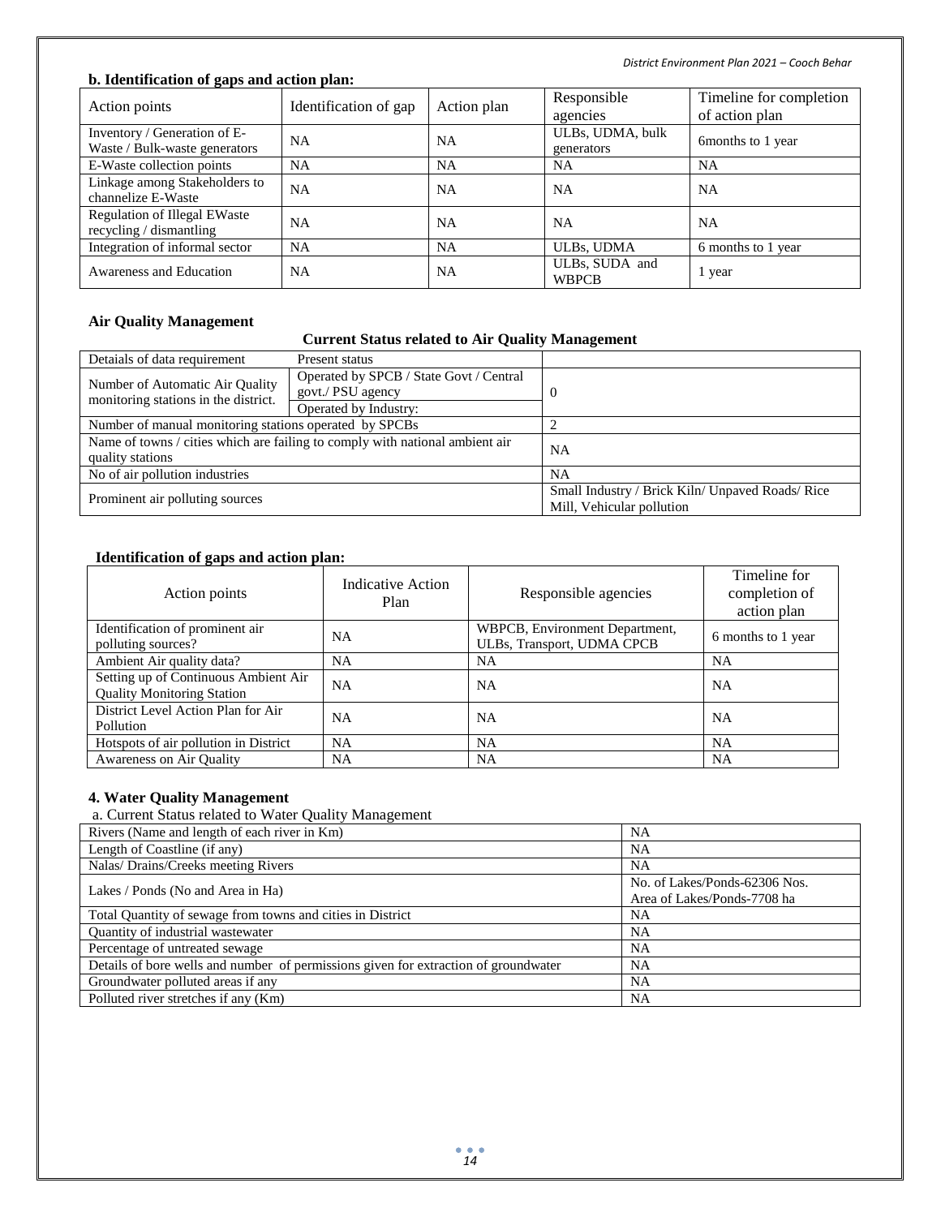*District Environment Plan 2021 – Cooch Behar*

#### **b. Identification of gaps and action plan:**

| Action points                       | Identification of gap | Action plan | Responsible      | Timeline for completion |  |
|-------------------------------------|-----------------------|-------------|------------------|-------------------------|--|
|                                     |                       |             | agencies         | of action plan          |  |
| Inventory / Generation of E-        | <b>NA</b>             | <b>NA</b>   | ULBs, UDMA, bulk | 6 months to 1 year      |  |
| Waste / Bulk-waste generators       |                       |             | generators       |                         |  |
| E-Waste collection points           | <b>NA</b>             | <b>NA</b>   | <b>NA</b>        | <b>NA</b>               |  |
| Linkage among Stakeholders to       | <b>NA</b>             | <b>NA</b>   | <b>NA</b>        | <b>NA</b>               |  |
| channelize E-Waste                  |                       |             |                  |                         |  |
| <b>Regulation of Illegal EWaste</b> | <b>NA</b>             | <b>NA</b>   | <b>NA</b>        | <b>NA</b>               |  |
| recycling / dismantling             |                       |             |                  |                         |  |
| Integration of informal sector      | <b>NA</b>             | <b>NA</b>   | ULBs, UDMA       | 6 months to 1 year      |  |
| Awareness and Education             | <b>NA</b>             | <b>NA</b>   | ULBs, SUDA and   |                         |  |
|                                     |                       |             | <b>WBPCB</b>     | 1 year                  |  |

### **Air Quality Management**

### **Current Status related to Air Quality Management**

| Detaials of data requirement                           | Present status                                                               |                                                  |  |
|--------------------------------------------------------|------------------------------------------------------------------------------|--------------------------------------------------|--|
| Number of Automatic Air Quality                        | Operated by SPCB / State Govt / Central                                      |                                                  |  |
| monitoring stations in the district.                   | govt./ PSU agency                                                            |                                                  |  |
|                                                        | Operated by Industry:                                                        |                                                  |  |
| Number of manual monitoring stations operated by SPCBs |                                                                              |                                                  |  |
|                                                        | Name of towns / cities which are failing to comply with national ambient air | NA                                               |  |
| quality stations                                       |                                                                              |                                                  |  |
| No of air pollution industries                         |                                                                              | <b>NA</b>                                        |  |
| Prominent air polluting sources                        |                                                                              | Small Industry / Brick Kiln/ Unpaved Roads/ Rice |  |
|                                                        |                                                                              | Mill, Vehicular pollution                        |  |

### **Identification of gaps and action plan:**

| Action points                                                             | <b>Indicative Action</b><br>Plan | Responsible agencies                                         | Timeline for<br>completion of<br>action plan |
|---------------------------------------------------------------------------|----------------------------------|--------------------------------------------------------------|----------------------------------------------|
| Identification of prominent air<br>polluting sources?                     | <b>NA</b>                        | WBPCB, Environment Department,<br>ULBs, Transport, UDMA CPCB | 6 months to 1 year                           |
| Ambient Air quality data?                                                 | NA                               | <b>NA</b>                                                    | <b>NA</b>                                    |
| Setting up of Continuous Ambient Air<br><b>Quality Monitoring Station</b> | NA                               | <b>NA</b>                                                    | <b>NA</b>                                    |
| District Level Action Plan for Air<br>Pollution                           | NA                               | <b>NA</b>                                                    | <b>NA</b>                                    |
| Hotspots of air pollution in District                                     | NA                               | <b>NA</b>                                                    | <b>NA</b>                                    |
| Awareness on Air Quality                                                  | NA                               | <b>NA</b>                                                    | <b>NA</b>                                    |

### **4. Water Quality Management**

a. Current Status related to Water Quality Management

| Rivers (Name and length of each river in Km)                                        | NA                                                           |
|-------------------------------------------------------------------------------------|--------------------------------------------------------------|
| Length of Coastline (if any)                                                        | NA                                                           |
| Nalas/Drains/Creeks meeting Rivers                                                  | NA                                                           |
| Lakes / Ponds (No and Area in Ha)                                                   | No. of Lakes/Ponds-62306 Nos.<br>Area of Lakes/Ponds-7708 ha |
| Total Quantity of sewage from towns and cities in District                          | NA                                                           |
| Quantity of industrial wastewater                                                   | NA                                                           |
| Percentage of untreated sewage                                                      | NA                                                           |
| Details of bore wells and number of permissions given for extraction of groundwater | NA                                                           |
| Groundwater polluted areas if any                                                   | NA                                                           |
| Polluted river stretches if any (Km)                                                | NA                                                           |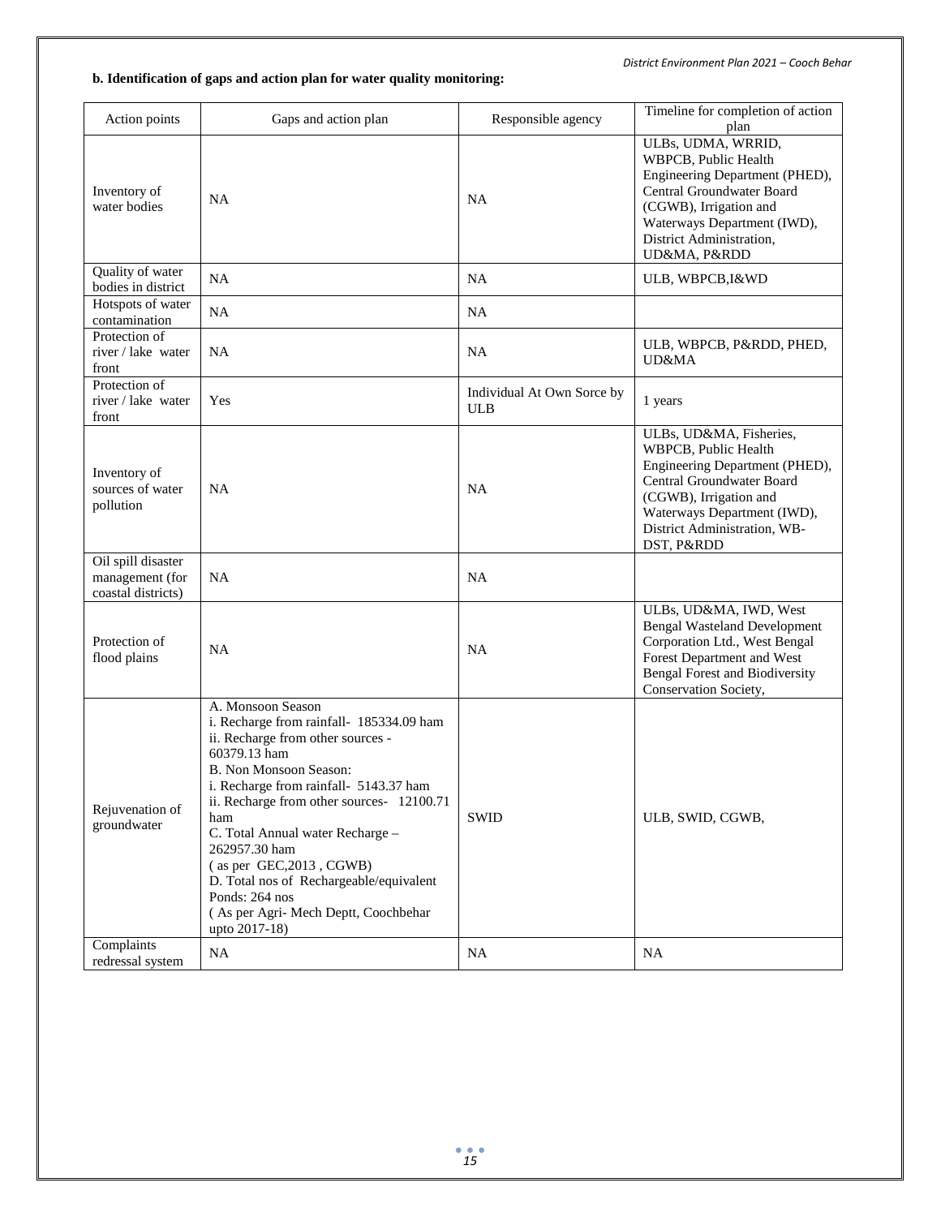### **b. Identification of gaps and action plan for water quality monitoring:**

| Action points                                               | Gaps and action plan                                                                                                                                                                                                                                                                                                                                                                                                                                   | Responsible agency                       | Timeline for completion of action<br>plan                                                                                                                                                                             |
|-------------------------------------------------------------|--------------------------------------------------------------------------------------------------------------------------------------------------------------------------------------------------------------------------------------------------------------------------------------------------------------------------------------------------------------------------------------------------------------------------------------------------------|------------------------------------------|-----------------------------------------------------------------------------------------------------------------------------------------------------------------------------------------------------------------------|
| Inventory of<br>water bodies                                | <b>NA</b>                                                                                                                                                                                                                                                                                                                                                                                                                                              | <b>NA</b>                                | ULBs, UDMA, WRRID,<br>WBPCB, Public Health<br>Engineering Department (PHED),<br>Central Groundwater Board<br>(CGWB), Irrigation and<br>Waterways Department (IWD),<br>District Administration,<br>UD&MA, P&RDD        |
| Quality of water<br>bodies in district                      | <b>NA</b>                                                                                                                                                                                                                                                                                                                                                                                                                                              | <b>NA</b>                                | ULB, WBPCB, I&WD                                                                                                                                                                                                      |
| Hotspots of water<br>contamination                          | <b>NA</b>                                                                                                                                                                                                                                                                                                                                                                                                                                              | <b>NA</b>                                |                                                                                                                                                                                                                       |
| Protection of<br>river / lake water<br>front                | <b>NA</b>                                                                                                                                                                                                                                                                                                                                                                                                                                              | <b>NA</b>                                | ULB, WBPCB, P&RDD, PHED,<br>UD&MA                                                                                                                                                                                     |
| Protection of<br>river / lake water<br>front                | Yes                                                                                                                                                                                                                                                                                                                                                                                                                                                    | Individual At Own Sorce by<br><b>ULB</b> | 1 years                                                                                                                                                                                                               |
| Inventory of<br>sources of water<br>pollution               | <b>NA</b>                                                                                                                                                                                                                                                                                                                                                                                                                                              | <b>NA</b>                                | ULBs, UD&MA, Fisheries,<br>WBPCB, Public Health<br>Engineering Department (PHED),<br>Central Groundwater Board<br>(CGWB), Irrigation and<br>Waterways Department (IWD),<br>District Administration, WB-<br>DST, P&RDD |
| Oil spill disaster<br>management (for<br>coastal districts) | NA                                                                                                                                                                                                                                                                                                                                                                                                                                                     | <b>NA</b>                                |                                                                                                                                                                                                                       |
| Protection of<br>flood plains                               | <b>NA</b>                                                                                                                                                                                                                                                                                                                                                                                                                                              | <b>NA</b>                                | ULBs, UD&MA, IWD, West<br><b>Bengal Wasteland Development</b><br>Corporation Ltd., West Bengal<br>Forest Department and West<br><b>Bengal Forest and Biodiversity</b><br>Conservation Society,                        |
| Rejuvenation of<br>groundwater                              | A. Monsoon Season<br>i. Recharge from rainfall- 185334.09 ham<br>ii. Recharge from other sources -<br>60379.13 ham<br>B. Non Monsoon Season:<br>i. Recharge from rainfall- 5143.37 ham<br>ii. Recharge from other sources- 12100.71<br>ham<br>C. Total Annual water Recharge -<br>262957.30 ham<br>$($ as per GEC, $2013$ , CGWB)<br>D. Total nos of Rechargeable/equivalent<br>Ponds: 264 nos<br>(As per Agri-Mech Deptt, Coochbehar<br>upto 2017-18) | <b>SWID</b>                              | ULB, SWID, CGWB,                                                                                                                                                                                                      |
| Complaints<br>redressal system                              | NA                                                                                                                                                                                                                                                                                                                                                                                                                                                     | NA                                       | <b>NA</b>                                                                                                                                                                                                             |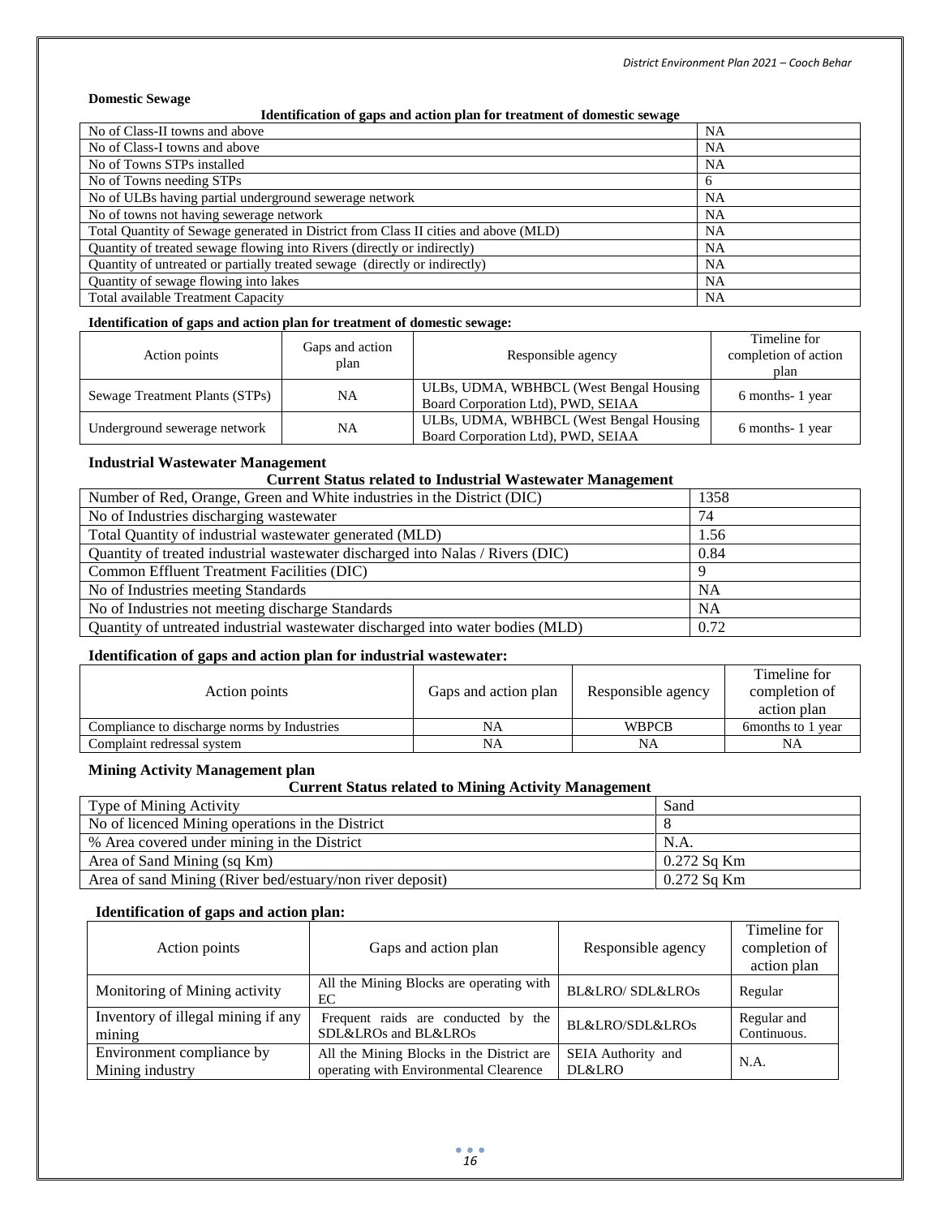#### **Domestic Sewage**

#### **Identification of gaps and action plan for treatment of domestic sewage**

| No of Class-II towns and above                                                      | <b>NA</b> |
|-------------------------------------------------------------------------------------|-----------|
| No of Class-I towns and above                                                       | NA        |
| No of Towns STPs installed                                                          | NA        |
| No of Towns needing STPs                                                            | 6         |
| No of ULBs having partial underground sewerage network                              | NA        |
| No of towns not having sewerage network                                             | NA        |
| Total Quantity of Sewage generated in District from Class II cities and above (MLD) | NA        |
| Quantity of treated sewage flowing into Rivers (directly or indirectly)             | NA        |
| Quantity of untreated or partially treated sewage (directly or indirectly)          | NA        |
| Quantity of sewage flowing into lakes                                               | NA        |
| Total available Treatment Capacity                                                  | <b>NA</b> |

#### **Identification of gaps and action plan for treatment of domestic sewage:**

| Action points                  | Gaps and action<br>plan | Responsible agency                                                             | Timeline for<br>completion of action<br>plan |
|--------------------------------|-------------------------|--------------------------------------------------------------------------------|----------------------------------------------|
| Sewage Treatment Plants (STPs) | <b>NA</b>               | ULBs, UDMA, WBHBCL (West Bengal Housing)<br>Board Corporation Ltd), PWD, SEIAA | 6 months-1 year                              |
| Underground sewerage network   | <b>NA</b>               | ULBs, UDMA, WBHBCL (West Bengal Housing)<br>Board Corporation Ltd), PWD, SEIAA | 6 months-1 year                              |

#### **Industrial Wastewater Management**

### **Current Status related to Industrial Wastewater Management**

| Number of Red, Orange, Green and White industries in the District (DIC)         | 1358      |
|---------------------------------------------------------------------------------|-----------|
| No of Industries discharging was tewater                                        | 74        |
| Total Quantity of industrial wastewater generated (MLD)                         | 1.56      |
| Quantity of treated industrial wastewater discharged into Nalas / Rivers (DIC)  | 0.84      |
| Common Effluent Treatment Facilities (DIC)                                      |           |
| No of Industries meeting Standards                                              | <b>NA</b> |
| No of Industries not meeting discharge Standards                                | <b>NA</b> |
| Quantity of untreated industrial was tewater discharged into water bodies (MLD) | 0.72      |

#### **Identification of gaps and action plan for industrial wastewater:**

|                                             |                      |                    | Timeline for          |
|---------------------------------------------|----------------------|--------------------|-----------------------|
| Action points                               | Gaps and action plan | Responsible agency | completion of         |
|                                             |                      |                    | action plan           |
| Compliance to discharge norms by Industries | NA                   | <b>WBPCB</b>       | 6 formonths to 1 year |
| Complaint redressal system                  | NA                   | NA                 | NA                    |

#### **Mining Activity Management plan**

#### **Current Status related to Mining Activity Management**

| Type of Mining Activity                                   | Sand        |
|-----------------------------------------------------------|-------------|
| No of licenced Mining operations in the District          |             |
| % Area covered under mining in the District               | N.A.        |
| Area of Sand Mining (sq Km)                               | 0.272 Sa Km |
| Area of sand Mining (River bed/estuary/non river deposit) | 0.272 Sa Km |

#### **Identification of gaps and action plan:**

| Action points                      | Gaps and action plan                           | Responsible agency              | Timeline for<br>completion of<br>action plan |
|------------------------------------|------------------------------------------------|---------------------------------|----------------------------------------------|
| Monitoring of Mining activity      | All the Mining Blocks are operating with<br>EС | <b>BL&amp;LRO/ SDL&amp;LROs</b> | Regular                                      |
| Inventory of illegal mining if any | Frequent raids are conducted by the            | <b>BL&amp;LRO/SDL&amp;LROs</b>  | Regular and                                  |
| mining                             | SDL&LROs and BL&LROs                           |                                 | Continuous.                                  |
| Environment compliance by          | All the Mining Blocks in the District are      | SEIA Authority and              | N.A.                                         |
| Mining industry                    | operating with Environmental Clearence         | DL&LRO                          |                                              |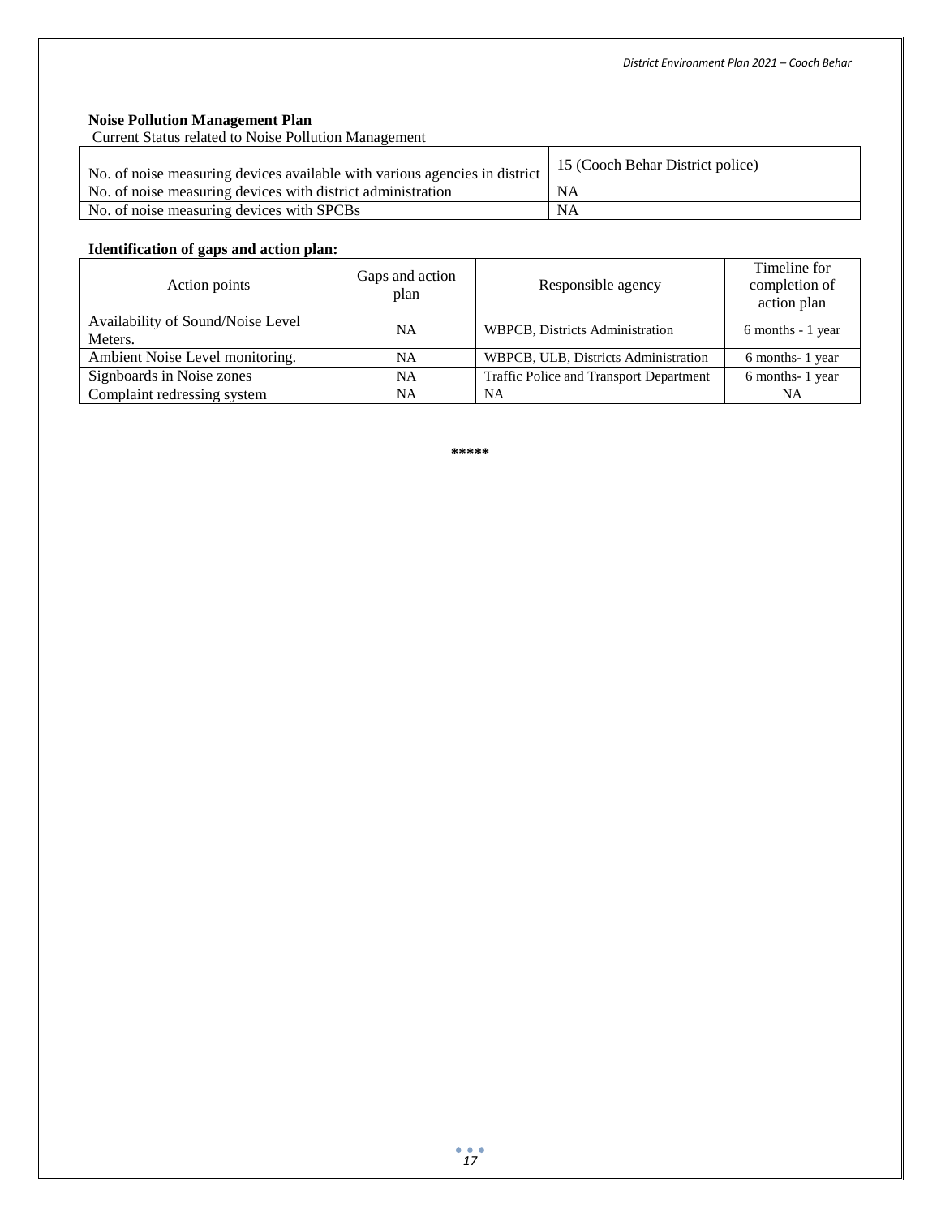### **Noise Pollution Management Plan**

Current Status related to Noise Pollution Management

| No. of noise measuring devices available with various agencies in district | 15 (Cooch Behar District police) |
|----------------------------------------------------------------------------|----------------------------------|
| No. of noise measuring devices with district administration                | NA                               |
| No. of noise measuring devices with SPCBs                                  | <b>NA</b>                        |

### **Identification of gaps and action plan:**

| Action points                                | Gaps and action<br>plan | Responsible agency                      | Timeline for<br>completion of<br>action plan |
|----------------------------------------------|-------------------------|-----------------------------------------|----------------------------------------------|
| Availability of Sound/Noise Level<br>Meters. | <b>NA</b>               | <b>WBPCB, Districts Administration</b>  | 6 months - 1 year                            |
| Ambient Noise Level monitoring.              | <b>NA</b>               | WBPCB, ULB, Districts Administration    | 6 months-1 year                              |
| Signboards in Noise zones                    | NA                      | Traffic Police and Transport Department | 6 months-1 year                              |
| Complaint redressing system                  | NA                      | NA                                      | NA                                           |

**\*\*\*\*\***